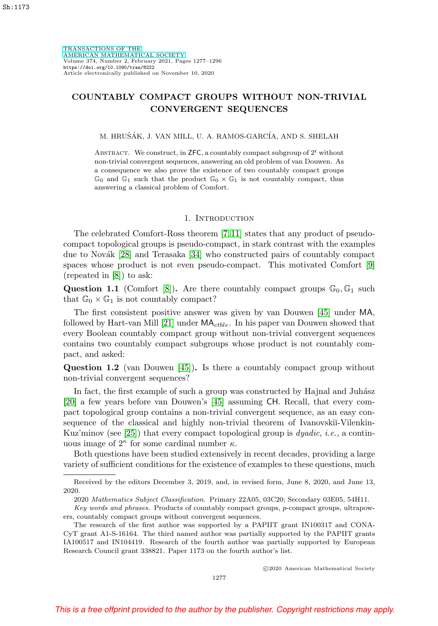[TRANSACTIONS OF THE](https://www.ams.org/tran/) [AMERICAN MATHEMATICAL SOCIETY](https://www.ams.org/tran/) Volume 374, Number 2, February 2021, Pages 1277–1296 <https://doi.org/10.1090/tran/8222> Article electronically published on November 10, 2020

# **COUNTABLY COMPACT GROUPS WITHOUT NON-TRIVIAL CONVERGENT SEQUENCES**

### M. HRUŠÁK, J. VAN MILL, U. A. RAMOS-GARCÍA, AND S. SHELAH

ABSTRACT. We construct, in **ZFC**, a countably compact subgroup of  $2^c$  without non-trivial convergent sequences, answering an old problem of van Douwen. As a consequence we also prove the existence of two countably compact groups  $\mathbb{G}_0$  and  $\mathbb{G}_1$  such that the product  $\mathbb{G}_0 \times \mathbb{G}_1$  is not countably compact, thus answering a classical problem of Comfort.

#### 1. Introduction

The celebrated Comfort-Ross theorem [\[7,](#page-17-0) [11\]](#page-18-0) states that any product of pseudocompact topological groups is pseudo-compact, in stark contrast with the examples due to Novák  $[28]$  and Terasaka  $[34]$  who constructed pairs of countably compact spaces whose product is not even pseudo-compact. This motivated Comfort [\[9\]](#page-17-1) (repeated in [\[8\]](#page-17-2)) to ask:

**Question 1.1** (Comfort [\[8\]](#page-17-2)). Are there countably compact groups  $\mathbb{G}_0$ ,  $\mathbb{G}_1$  such that  $\mathbb{G}_0 \times \mathbb{G}_1$  is not countably compact?

The first consistent positive answer was given by van Douwen [\[45\]](#page-19-1) under MA, followed by Hart-van Mill [\[21\]](#page-18-2) under  $MA_{ctble}$ . In his paper van Douwen showed that every Boolean countably compact group without non-trivial convergent sequences contains two countably compact subgroups whose product is not countably compact, and asked:

**Question 1.2** (van Douwen [\[45\]](#page-19-1))**.** Is there a countably compact group without non-trivial convergent sequences?

In fact, the first example of such a group was constructed by Hajnal and Juhász [\[20\]](#page-18-3) a few years before van Douwen's [\[45\]](#page-19-1) assuming CH. Recall, that every compact topological group contains a non-trivial convergent sequence, as an easy consequence of the classical and highly non-trivial theorem of Ivanovskii-Vilenkin-Kuz'minov (see [\[25\]](#page-18-4)) that every compact topological group is  $dyadic, i.e.,$  a continuous image of  $2^{\kappa}$  for some cardinal number  $\kappa$ .

Both questions have been studied extensively in recent decades, providing a large variety of sufficient conditions for the existence of examples to these questions, much

Received by the editors December 3, 2019, and, in revised form, June 8, 2020, and June 13, 2020.

<sup>2020</sup> Mathematics Subject Classification. Primary 22A05, 03C20; Secondary 03E05, 54H11.

Key words and phrases. Products of countably compact groups, p-compact groups, ultrapowers, countably compact groups without convergent sequences.

The research of the first author was supported by a PAPIIT grant IN100317 and CONA-CyT grant A1-S-16164. The third named author was partially supported by the PAPIIT grants IA100517 and IN104419. Research of the fourth author was partially supported by European Research Council grant 338821. Paper 1173 on the fourth author's list.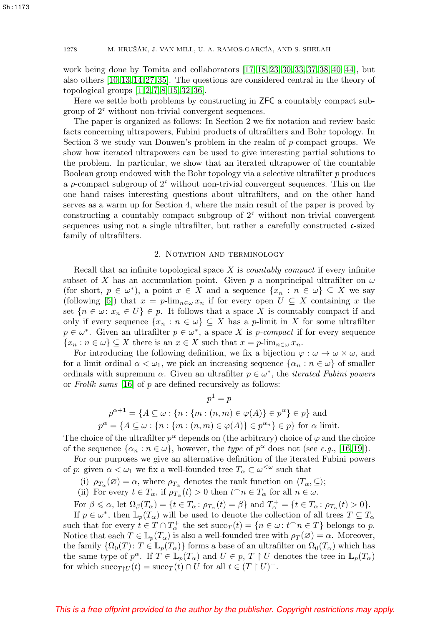work being done by Tomita and collaborators [\[17,](#page-18-5) [18,](#page-18-6) [23,](#page-18-7) [30,](#page-18-8) [33,](#page-18-9) [37,](#page-19-2) [38,](#page-19-3) [40](#page-19-4)[–44\]](#page-19-5), but also others [\[10,](#page-17-3) [13,](#page-18-10) [14,](#page-18-11) [27,](#page-18-12) [35\]](#page-19-6). The questions are considered central in the theory of topological groups [\[1,](#page-17-4) [2,](#page-17-5) [7,](#page-17-0) [8,](#page-17-2) [15,](#page-18-13) [32,](#page-18-14) [36\]](#page-19-7).

Here we settle both problems by constructing in ZFC a countably compact subgroup of  $2^c$  without non-trivial convergent sequences.

The paper is organized as follows: In Section 2 we fix notation and review basic facts concerning ultrapowers, Fubini products of ultrafilters and Bohr topology. In Section 3 we study van Douwen's problem in the realm of p-compact groups. We show how iterated ultrapowers can be used to give interesting partial solutions to the problem. In particular, we show that an iterated ultrapower of the countable Boolean group endowed with the Bohr topology via a selective ultrafilter  $p$  produces a p-compact subgroup of  $2^c$  without non-trivial convergent sequences. This on the one hand raises interesting questions about ultrafilters, and on the other hand serves as a warm up for Section 4, where the main result of the paper is proved by constructing a countably compact subgroup of  $2<sup>c</sup>$  without non-trivial convergent sequences using not a single ultrafilter, but rather a carefully constructed c-sized family of ultrafilters.

## 2. NOTATION AND TERMINOLOGY

Recall that an infinite topological space  $X$  is *countably compact* if every infinite subset of X has an accumulation point. Given p a nonprincipal ultrafilter on  $\omega$ (for short,  $p \in \omega^*$ ), a point  $x \in X$  and a sequence  $\{x_n : n \in \omega\} \subseteq X$  we say (following [\[5\]](#page-17-6)) that  $x = p\text{-lim}_{n\in\omega} x_n$  if for every open  $U \subseteq X$  containing x the set  $\{n \in \omega : x_n \in U\} \in p$ . It follows that a space X is countably compact if and only if every sequence  $\{x_n : n \in \omega\} \subseteq X$  has a p-limit in X for some ultrafilter  $p \in \omega^*$ . Given an ultrafilter  $p \in \omega^*$ , a space X is p-compact if for every sequence  $\{x_n : n \in \omega\} \subseteq X$  there is an  $x \in X$  such that  $x = p$ -lim<sub>n $\in \omega$ </sub>  $x_n$ .

For introducing the following definition, we fix a bijection  $\varphi : \omega \to \omega \times \omega$ , and for a limit ordinal  $\alpha < \omega_1$ , we pick an increasing sequence  $\{\alpha_n : n \in \omega\}$  of smaller ordinals with supremum  $\alpha$ . Given an ultrafilter  $p \in \omega^*$ , the *iterated Fubini powers* or Frolik sums [\[16\]](#page-18-15) of  $p$  are defined recursively as follows:

$$
p^{1} = p
$$
  
\n
$$
p^{\alpha+1} = \{A \subseteq \omega : \{n : \{m : (n,m) \in \varphi(A)\} \in p^{\alpha}\} \in p\}
$$
 and  
\n
$$
p^{\alpha} = \{A \subseteq \omega : \{n : \{m : (n,m) \in \varphi(A)\} \in p^{\alpha_{n}}\} \in p\}
$$
 for  $\alpha$  limit.

The choice of the ultrafilter  $p^{\alpha}$  depends on (the arbitrary) choice of  $\varphi$  and the choice of the sequence  $\{\alpha_n : n \in \omega\}$ , however, the type of  $p^{\alpha}$  does not (see e.g., [\[16,](#page-18-15) [19\]](#page-18-16)).

For our purposes we give an alternative definition of the iterated Fubini powers of p: given  $\alpha < \omega_1$  we fix a well-founded tree  $T_\alpha \subset \omega^{\langle \omega \rangle}$  such that

(i)  $\rho_{T_{\alpha}}(\emptyset) = \alpha$ , where  $\rho_{T_{\alpha}}$  denotes the rank function on  $\langle T_{\alpha}, \subseteq \rangle$ ;

(ii) For every  $t \in T_\alpha$ , if  $\rho_{T_\alpha}(t) > 0$  then  $t^\frown n \in T_\alpha$  for all  $n \in \omega$ .

For  $\beta \leq \alpha$ , let  $\Omega_{\beta}(T_{\alpha}) = \{t \in T_{\alpha} : \rho_{T_{\alpha}}(t) = \beta\}$  and  $T_{\alpha}^{+} = \{t \in T_{\alpha} : \rho_{T_{\alpha}}(t) > 0\}.$ 

If  $p \in \omega^*$ , then  $\mathbb{L}_p(T_\alpha)$  will be used to denote the collection of all trees  $T \subseteq T_\alpha$ such that for every  $t \in T \cap T_\alpha^+$  the set  $succ_T(t) = \{n \in \omega : t^\frown n \in T\}$  belongs to p. Notice that each  $T \in \mathbb{L}_p(T_\alpha)$  is also a well-founded tree with  $\rho_T(\varnothing) = \alpha$ . Moreover, the family  $\{\Omega_0(T): T \in \mathbb{L}_p(T_\alpha)\}\)$  forms a base of an ultrafilter on  $\Omega_0(T_\alpha)$  which has the same type of  $p^{\alpha}$ . If  $T \in \mathbb{L}_p(T_{\alpha})$  and  $U \in p$ ,  $T \restriction U$  denotes the tree in  $\mathbb{L}_p(T_{\alpha})$ for which  $succ_{T|U}(t) = succ_T(t) \cap U$  for all  $t \in (T \restriction U)^+$ .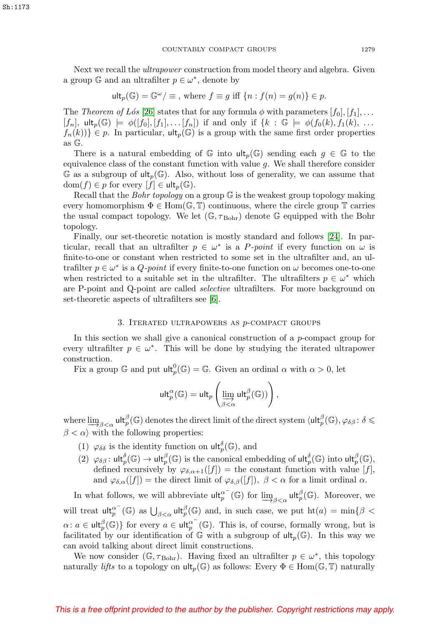Next we recall the *ultrapower* construction from model theory and algebra. Given a group  $\mathbb{G}$  and an ultrafilter  $p \in \omega^*$ , denote by

$$
\mathsf{ult}_p(\mathbb{G}) = \mathbb{G}^\omega / \equiv \text{, where } f \equiv g \text{ iff } \{n : f(n) = g(n)\} \in p.
$$

The Theorem of Lós [\[26\]](#page-18-17) states that for any formula  $\phi$  with parameters  $[f_0], [f_1], \ldots$  $[f_n], \text{ult}_p(\mathbb{G}) \models \phi([f_0], [f_1], \dots [f_n]) \text{ if and only if } \{k : \mathbb{G} \models \phi(f_0(k), f_1(k), \dots \}$  $f_n(k)$ }  $\in$  *p*. In particular,  $\mathsf{ult}_p(\mathbb{G})$  is a group with the same first order properties as G.

There is a natural embedding of  $\mathbb{G}$  into  $\mathsf{ult}_p(\mathbb{G})$  sending each  $g \in \mathbb{G}$  to the equivalence class of the constant function with value  $g$ . We shall therefore consider G as a subgroup of  $\text{ult}_p(\mathbb{G})$ . Also, without loss of generality, we can assume that  $dom(f) \in p$  for every  $|f| \in \mathsf{ult}_p(\mathbb{G}).$ 

Recall that the *Bohr topology* on a group  $\mathbb{G}$  is the weakest group topology making every homomorphism  $\Phi \in \text{Hom}(\mathbb{G}, \mathbb{T})$  continuous, where the circle group  $\mathbb{T}$  carries the usual compact topology. We let  $(\mathbb{G}, \tau_{Bohr})$  denote  $\mathbb{G}$  equipped with the Bohr topology.

Finally, our set-theoretic notation is mostly standard and follows [\[24\]](#page-18-18). In particular, recall that an ultrafilter  $p \in \omega^*$  is a P-point if every function on  $\omega$  is finite-to-one or constant when restricted to some set in the ultrafilter and, an ultrafilter  $p \in \omega^*$  is a Q-point if every finite-to-one function on  $\omega$  becomes one-to-one when restricted to a suitable set in the ultrafilter. The ultrafilters  $p \in \omega^*$  which are P-point and Q-point are called selective ultrafilters. For more background on set-theoretic aspects of ultrafilters see [\[6\]](#page-17-7).

## 3. ITERATED ULTRAPOWERS AS  $p$ -COMPACT GROUPS

In this section we shall give a canonical construction of a p-compact group for every ultrafilter  $p \in \omega^*$ . This will be done by studying the iterated ultrapower construction.

Fix a group  $\mathbb G$  and put  $\mathsf{ult}_p^0(\mathbb{G}) = \mathbb{G}$ . Given an ordinal  $\alpha$  with  $\alpha > 0$ , let

$$
\mathsf{ult}_p^\alpha(\mathbb{G}) = \mathsf{ult}_p\left(\varinjlim_{\beta<\alpha} \mathsf{ult}_p^\beta(\mathbb{G})\right),
$$

where  $\lim_{\beta\to 0}$   $\text{ult}_p^{\beta}(\mathbb{G})$  denotes the direct limit of the direct system  $\langle \text{ult}_p^{\beta}(\mathbb{G}), \varphi_{\delta\beta} : \delta \leq$  $\beta < \alpha$  with the following properties:

- (1)  $\varphi_{\delta\delta}$  is the identity function on  $\mathsf{ult}_p^{\delta}(\mathbb{G})$ , and
- (2)  $\varphi_{\delta\beta}$ : ult $_p^{\delta}(\mathbb{G}) \to \mathsf{ult}_p^{\beta}(\mathbb{G})$  is the canonical embedding of ult $_p^{\delta}(\mathbb{G})$  into ult $_p^{\beta}(\mathbb{G})$ , defined recursively by  $\varphi_{\delta,\alpha+1}([f]) =$  the constant function with value  $[f],$ and  $\varphi_{\delta,\alpha}([f]) =$  the direct limit of  $\varphi_{\delta,\beta}([f])$ ,  $\beta < \alpha$  for a limit ordinal  $\alpha$ .

In what follows, we will abbreviate  $\mathsf{ult}_p^{\alpha^-}(\mathbb{G})$  for  $\underline{\lim}_{\beta<\alpha} \mathsf{ult}_p^{\beta}(\mathbb{G})$ . Moreover, we will treat  $\mathsf{ult}_p^{\alpha^-}(\mathbb{G})$  as  $\bigcup_{\beta<\alpha}\mathsf{ult}_p^{\beta}(\mathbb{G})$  and, in such case, we put  $\mathrm{ht}(a)=\min\{\beta<\beta\}$  $\alpha: a \in \mathsf{ult}_p^{\beta}(\mathbb{G})\}$  for every  $a \in \mathsf{ult}_p^{\alpha^-}(\mathbb{G})$ . This is, of course, formally wrong, but is facilitated by our identification of  $\mathbb G$  with a subgroup of  $\mathrm{ult}_p(\mathbb G)$ . In this way we can avoid talking about direct limit constructions.

We now consider ( $\mathbb{G}, \tau_{\text{Bohr}}$ ). Having fixed an ultrafilter  $p \in \omega^*$ , this topology naturally *lifts* to a topology on  $\mathsf{ult}_n(\mathbb{G})$  as follows: Every  $\Phi \in \text{Hom}(\mathbb{G}, \mathbb{T})$  naturally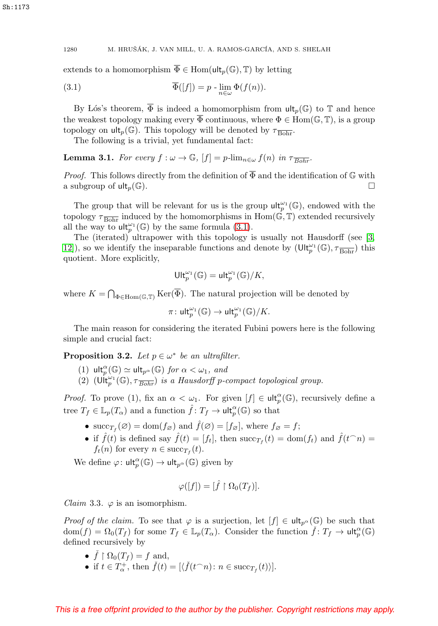Sh:1173

1280 M. HRUŠÁK, J. VAN MILL, U. A. RAMOS-GARCÍA, AND S. SHELAH

extends to a homomorphism  $\overline{\Phi} \in \text{Hom}(\text{ult}_p(\mathbb{G}), \mathbb{T})$  by letting

<span id="page-3-0"></span>(3.1) 
$$
\overline{\Phi}([f]) = p - \lim_{n \in \omega} \Phi(f(n)).
$$

By Lós's theorem,  $\overline{\Phi}$  is indeed a homomorphism from  $\mathrm{ult}_p(\mathbb{G})$  to  $\mathbb T$  and hence the weakest topology making every  $\overline{\Phi}$  continuous, where  $\Phi \in \text{Hom}(\mathbb{G}, \mathbb{T})$ , is a group topology on  $\mathsf{ult}_p(\mathbb{G})$ . This topology will be denoted by  $\tau_{\overline{\text{Bohr}}}$ .

The following is a trivial, yet fundamental fact:

**Lemma 3.1.** For every  $f : \omega \to \mathbb{G}$ ,  $[f] = p\text{-lim}_{n \in \omega} f(n)$  in  $\tau_{\overline{Bohr}}$ .

*Proof.* This follows directly from the definition of  $\overline{\Phi}$  and the identification of  $\mathbb G$  with a subgroup of  $\mathsf{ult}_p(\mathbb{G})$ .

The group that will be relevant for us is the group  $\mathsf{ult}_p^{\omega_1}(\mathbb{G})$ , endowed with the topology  $\tau_{\overline{Bohr}}$  induced by the homomorphisms in Hom( $\mathbb{G}, \mathbb{T}$ ) extended recursively all the way to  $\mathsf{ult}_p^{\omega_1}(\mathbb{G})$  by the same formula [\(3.1\)](#page-3-0).

The (iterated) ultrapower with this topology is usually not Hausdorff (see [\[3,](#page-17-8) 12), so we identify the inseparable functions and denote by  $(\text{Ult}_p^{\omega_1}(\mathbb{G}), \tau_{\overline{\text{Bohr}}})$  this quotient. More explicitly,

$$
\mathrm{Ult}^{\omega_1}_p(\mathbb{G})=\mathrm{ult}^{\omega_1}_p(\mathbb{G})/K,
$$

where  $K = \bigcap_{\Phi \in \text{Hom}(\mathbb{G}, \mathbb{T})} \text{Ker}(\Phi)$ . The natural projection will be denoted by

$$
\pi\colon \mathsf{ult}_p^{\omega_1}(\mathbb{G}) \to \mathsf{ult}_p^{\omega_1}(\mathbb{G})/K.
$$

The main reason for considering the iterated Fubini powers here is the following simple and crucial fact:

<span id="page-3-1"></span>**Proposition 3.2.** Let  $p \in \omega^*$  be an ultrafilter.

- (1)  $\mathrm{ult}_p^{\alpha}(\mathbb{G}) \simeq \mathrm{ult}_{p^{\alpha}}(\mathbb{G})$  for  $\alpha < \omega_1$ , and
- (2)  $(\mathsf{Uft}_{p}^{\omega_{1}}(\mathbb{G}), \tau_{\overline{Bohr}})$  is a Hausdorff p-compact topological group.

*Proof.* To prove (1), fix an  $\alpha < \omega_1$ . For given  $[f] \in \mathsf{ult}_p^{\alpha}(\mathbb{G})$ , recursively define a tree  $T_f \in \mathbb{L}_p(T_\alpha)$  and a function  $\hat{f} \colon T_f \to \mathsf{ult}_p^{\alpha}(\mathbb{G})$  so that

- succ<sub>Tf</sub> (∅) = dom( $f_{\emptyset}$ ) and  $\hat{f}(\emptyset)=[f_{\emptyset}]$ , where  $f_{\emptyset}=f$ ;
- if  $\hat{f}(t)$  is defined say  $\hat{f}(t) = [f_t]$ , then  $succ_{T_f}(t) = dom(f_t)$  and  $\hat{f}(t \cap n) =$  $f_t(n)$  for every  $n \in \text{succ}_{T_t}(t)$ .

We define  $\varphi: \mathsf{ult}_p^{\alpha}(\mathbb{G}) \to \mathsf{ult}_{p^{\alpha}}(\mathbb{G})$  given by

$$
\varphi([f]) = [\hat{f} \restriction \Omega_0(T_f)].
$$

*Claim* 3.3.  $\varphi$  is an isomorphism.

*Proof of the claim.* To see that  $\varphi$  is a surjection, let  $[f] \in \mathsf{ult}_{p^{\alpha}}(\mathbb{G})$  be such that  $dom(f) = \Omega_0(T_f)$  for some  $T_f \in \mathbb{L}_p(T_\alpha)$ . Consider the function  $\check{f} : T_f \to \mathsf{ult}_p^\alpha(\mathbb{G})$ defined recursively by

- $\check{f} \upharpoonright \Omega_0(T_f) = f$  and,
- if  $t \in T_{\alpha}^+$ , then  $\check{f}(t) = [\langle \check{f}(t \cap n) : n \in \text{succ}_{T_f}(t) \rangle].$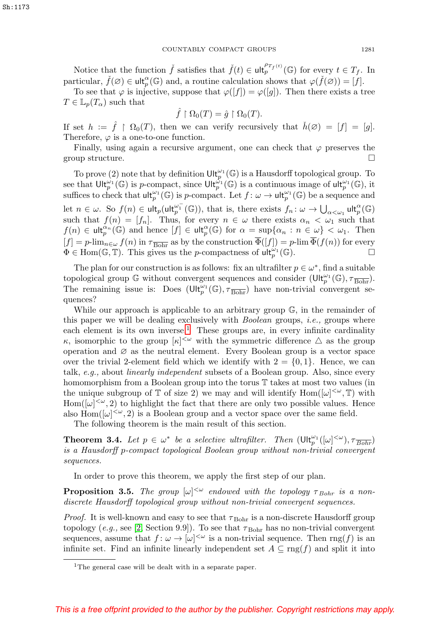Notice that the function  $\check{f}$  satisfies that  $\check{f}(t) \in \mathsf{ult}_p^{\rho_{T_f}(t)}(\mathbb{G})$  for every  $t \in T_f$ . In particular,  $\check{f}(\varnothing) \in \mathsf{ult}_p^{\alpha}(\mathbb{G})$  and, a routine calculation shows that  $\varphi(\check{f}(\varnothing)) = [f].$ 

To see that  $\varphi$  is injective, suppose that  $\varphi([f]) = \varphi([g])$ . Then there exists a tree  $T \in \mathbb{L}_p(T_\alpha)$  such that

$$
\hat{f} \restriction \Omega_0(T) = \hat{g} \restriction \Omega_0(T).
$$

If set  $h := \hat{f} \restriction \Omega_0(T)$ , then we can verify recursively that  $\check{h}(\emptyset) = [f] = [g]$ . Therefore,  $\varphi$  is a one-to-one function.

Finally, using again a recursive argument, one can check that  $\varphi$  preserves the group structure.

To prove (2) note that by definition  $\mathsf{Ult}_p^{\omega_1}(\mathbb{G})$  is a Hausdorff topological group. To see that  $\mathsf{Ult}_p^{\omega_1}(\mathbb{G})$  is p-compact, since  $\mathsf{Ult}_p^{\hat{\omega}_1}(\mathbb{G})$  is a continuous image of  $\mathsf{ult}_p^{\omega_1}(\mathbb{G})$ , it suffices to check that  $\mathsf{ult}_p^{\omega_1}(\mathbb{G})$  is p-compact. Let  $f: \omega \to \mathsf{ult}_p^{\omega_1}(\mathbb{G})$  be a sequence and let  $n \in \omega$ . So  $f(n) \in \mathsf{ult}_p^{\omega_1^{-}}(\mathbb{G})$ , that is, there exists  $f_n: \omega \to \bigcup_{\alpha < \omega_1} \mathsf{ult}_p^{\alpha}(\mathbb{G})$ such that  $f(n)=[f_n]$ . Thus, for every  $n \in \omega$  there exists  $\alpha_n < \omega_1$  such that  $f(n) \in \mathsf{ult}_p^{\alpha_n}(\mathbb{G})$  and hence  $[f] \in \mathsf{ult}_p^{\alpha}(\mathbb{G})$  for  $\alpha = \sup\{\alpha_n : n \in \omega\} < \omega_1$ . Then  $[f] = p\text{-lim}_{n\in\omega} f(n)$  in  $\tau_{\text{Bohr}}$  as by the construction  $\overline{\Phi}([f]) = p\text{-lim } \overline{\Phi}(f(n))$  for every  $\Phi \in \text{Hom}(\mathbb{G}, \mathbb{T})$ . This gives us the *n*-compactness of  $\text{ul}^{(n)}(\mathbb{G})$ .  $\Phi \in \text{Hom}(\mathbb{G}, \mathbb{T})$ . This gives us the *p*-compactness of  $\mathsf{ult}_p^{\omega_1}(\mathbb{G})$ .

The plan for our construction is as follows: fix an ultrafilter  $p \in \omega^*$ , find a suitable topological group  $\mathbb G$  without convergent sequences and consider  $(\mathsf{Ult}_p^{\omega_1}(\mathbb G),\tau_{\overline{\mathrm{Bohr}}})$ . The remaining issue is: Does  $(\text{Ult}_{p}^{\omega_1}(\mathbb{G}), \tau_{\overline{\text{Bohr}}})$  have non-trivial convergent sequences?

While our approach is applicable to an arbitrary group  $\mathbb{G}$ , in the remainder of this paper we will be dealing exclusively with *Boolean* groups, *i.e.*, groups where each element is its own inverse.<sup>[1](#page-4-0)</sup> These groups are, in every infinite cardinality κ, isomorphic to the group  $[κ]^{<ω}$  with the symmetric difference  $\Delta$  as the group operation and  $\varnothing$  as the neutral element. Every Boolean group is a vector space over the trivial 2-element field which we identify with  $2 = \{0, 1\}$ . Hence, we can talk, e.g., about linearly independent subsets of a Boolean group. Also, since every homomorphism from a Boolean group into the torus T takes at most two values (in the unique subgroup of  $\mathbb T$  of size 2) we may and will identify  $\text{Hom}([\omega]^{<\omega}, \mathbb T)$  with  $\text{Hom}([\omega]^{<\omega}, 2)$  to highlight the fact that there are only two possible values. Hence also  $\text{Hom}([\omega]^{<\omega}, 2)$  is a Boolean group and a vector space over the same field.

The following theorem is the main result of this section.

<span id="page-4-1"></span>**Theorem 3.4.** Let  $p \in \omega^*$  be a selective ultrafilter. Then  $(\text{Ult}_p^{\omega_1}([\omega]^{<\omega}), \tau_{\overline{Bohr}})$ is a Hausdorff p-compact topological Boolean group without non-trivial convergent sequences.

In order to prove this theorem, we apply the first step of our plan.

**Proposition 3.5.** The group  $[\omega]^{<\omega}$  endowed with the topology  $\tau_{Bohr}$  is a nondiscrete Hausdorff topological group without non-trivial convergent sequences.

*Proof.* It is well-known and easy to see that  $\tau_{\rm Bohr}$  is a non-discrete Hausdorff group topology (e.g., see [\[2,](#page-17-5) Section 9.9]). To see that  $\tau_{\text{Bohr}}$  has no non-trivial convergent sequences, assume that  $f: \omega \to [\omega]^{<\omega}$  is a non-trivial sequence. Then  $\text{rng}(f)$  is an infinite set. Find an infinite linearly independent set  $A \subseteq \text{rng}(f)$  and split it into

<span id="page-4-0"></span><sup>&</sup>lt;sup>1</sup>The general case will be dealt with in a separate paper.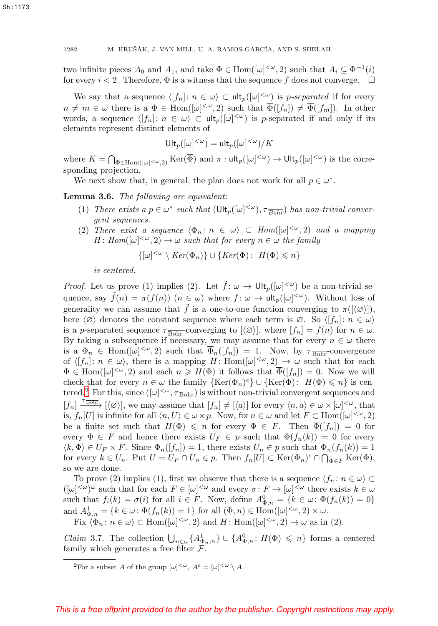two infinite pieces  $A_0$  and  $A_1$ , and take  $\Phi \in \text{Hom}([\omega]^{<\omega}, 2)$  such that  $A_i \subseteq \Phi^{-1}(i)$ for every  $i < 2$ . Therefore,  $\Phi$  is a witness that the sequence f does not converge.  $\Box$ 

We say that a sequence  $\langle [f_n]: n \in \omega \rangle \subset \mathsf{ult}_p([\omega]^{<\omega})$  is p-separated if for every  $n \neq m \in \omega$  there is a  $\Phi \in \text{Hom}([\omega]^{<\omega}, 2)$  such that  $\overline{\Phi}([f_n]) \neq \overline{\Phi}([f_m])$ . In other words, a sequence  $\langle [f_n]: n \in \omega \rangle \subset \mathsf{ult}_p([\omega]^{<\omega})$  is p-separated if and only if its elements represent distinct elements of

$$
\mathrm{Ult}_p([\omega]^{<\omega})=\mathrm{ult}_p([\omega]^{<\omega})/K
$$

where  $K = \bigcap_{\Phi \in \text{Hom}([\omega]^{<\omega},2)} \text{Ker}(\overline{\Phi})$  and  $\pi : \text{ult}_p([\omega]^{<\omega}) \to \text{Ult}_p([\omega]^{<\omega})$  is the corresponding projection.

We next show that, in general, the plan does not work for all  $p \in \omega^*$ .

<span id="page-5-2"></span>**Lemma 3.6.** The following are equivalent:

- (1) There exists a  $p \in \omega^*$  such that  $(\text{Ult}_p([\omega]^{<\omega}), \tau_{\overline{Bohr}})$  has non-trivial convergent sequences.
- (2) There exist a sequence  $\langle \Phi_n : n \in \omega \rangle \subset Hom([\omega]^{<\omega}, 2)$  and a mapping  $H: Hom([\omega]^{<\omega}, 2) \to \omega$  such that for every  $n \in \omega$  the family

$$
\{[\omega]^{<\omega}\setminus Ker(\Phi_n)\}\cup\{Ker(\Phi):\ H(\Phi)\leq n\}
$$

is centered.

*Proof.* Let us prove (1) implies (2). Let  $\tilde{f}: \omega \to \mathrm{Ult}_p([\omega]^{<\omega})$  be a non-trivial sequence, say  $\tilde{f}(n) = \pi(f(n))$   $(n \in \omega)$  where  $f: \omega \to \text{ult}_p([\omega]^{<\omega})$ . Without loss of generality we can assume that  $\hat{f}$  is a one-to-one function converging to  $\pi([\langle \varnothing \rangle])$ , here  $\langle \emptyset \rangle$  denotes the constant sequence where each term is ∅. So  $\langle f_n |: n \in \omega \rangle$ is a p-separated sequence  $\tau_{\text{Bohr}}$ -converging to  $[\langle \varnothing \rangle]$ , where  $[f_n] = f(n)$  for  $n \in \omega$ . By taking a subsequence if necessary, we may assume that for every  $n \in \omega$  there is a  $\Phi_n \in \text{Hom}([\omega]^{<\omega}, 2)$  such that  $\overline{\Phi}_n([f_n]) = 1$ . Now, by  $\tau_{\text{Bohr}}$ -convergence of  $\langle [f_n]: n \in \omega \rangle$ , there is a mapping H: Hom $([\omega]^{<\omega}, 2) \to \omega$  such that for each  $\Phi \in \text{Hom}([\omega]^{<\omega}, 2)$  and each  $n \geq H(\Phi)$  it follows that  $\overline{\Phi}([f_n]) = 0$ . Now we will check that for every  $n \in \omega$  the family  $\{\text{Ker}(\Phi_n)^c\} \cup \{\text{Ker}(\Phi): H(\Phi) \leq n\}$  is cen-tered.<sup>[2](#page-5-0)</sup> For this, since  $([\omega]^{<\omega}, \tau_{\rm Bohr})$  is without non-trivial convergent sequences and  $[f_n] \xrightarrow{\tau_{\overline{\text{Bohr}}}} [\langle \varnothing \rangle],$  we may assume that  $[f_n] \neq [\langle a \rangle]$  for every  $\langle n, a \rangle \in \omega \times [\omega]^{<\omega}$ , that is,  $f_n[U]$  is infinite for all  $\langle n, U \rangle \in \omega \times p$ . Now, fix  $n \in \omega$  and let  $F \subset \text{Hom}([\omega]^{<\omega}, 2)$ be a finite set such that  $H(\Phi) \leq n$  for every  $\Phi \in F$ . Then  $\Phi([f_n]) = 0$  for every  $\Phi \in F$  and hence there exists  $U_F \in p$  such that  $\Phi(f_n(k)) = 0$  for every  $\langle k, \Phi \rangle \in U_F \times F$ . Since  $\overline{\Phi}_n([f_n]) = 1$ , there exists  $U_n \in p$  such that  $\Phi_n(f_n(k)) = 1$ for every  $k \in U_n$ . Put  $U = U_F \cap U_n \in p$ . Then  $f_n[U] \subset \text{Ker}(\Phi_n)^c \cap \bigcap_{\Phi \in F} \text{Ker}(\Phi)$ , so we are done.

To prove (2) implies (1), first we observe that there is a sequence  $\langle f_n : n \in \omega \rangle \subset$  $([\omega]^{<\omega})^{\omega}$  such that for each  $F \in [\omega]^{<\omega}$  and every  $\sigma \colon F \to [\omega]^{<\omega}$  there exists  $k \in \omega$ such that  $f_i(k) = \sigma(i)$  for all  $i \in F$ . Now, define  $A_{\Phi,n}^0 = \{k \in \omega : \Phi(f_n(k)) = 0\}$ and  $A_{\Phi,n}^1 = \{k \in \omega \colon \Phi(f_n(k)) = 1\}$  for all  $(\Phi, n) \in \text{Hom}([\omega]^{<\omega}, 2) \times \omega$ .

Fix  $\langle \Phi_n : n \in \omega \rangle \subset \text{Hom}([\omega]^{<\omega}, 2)$  and  $H: \text{Hom}([\omega]^{<\omega}, 2) \to \omega$  as in (2).

<span id="page-5-1"></span>Claim 3.7. The collection  $\bigcup_{n\in\omega}\{A_{\Phi_n,n}^1\}\cup\{A_{\Phi_n}^0\colon H(\Phi)\leqslant n\}$  forms a centered family which generates a free filter  $\mathcal{F}$ .

<span id="page-5-0"></span><sup>&</sup>lt;sup>2</sup>For a subset A of the group  $[\omega]^{<\omega}$ ,  $A^c = [\omega]^{<\omega} \setminus A$ .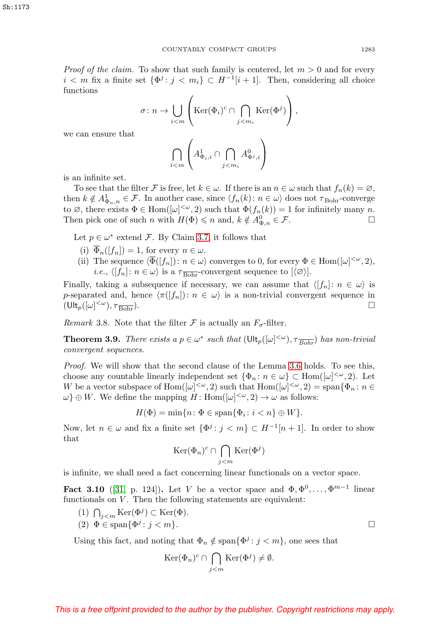*Proof of the claim.* To show that such family is centered, let  $m > 0$  and for every  $i < m$  fix a finite set  $\{\Phi^j : j < m_i\} \subset H^{-1}[i + 1]$ . Then, considering all choice functions

$$
\sigma \colon n \to \bigcup_{i < m} \left( \text{Ker}(\Phi_i)^c \cap \bigcap_{j < m_i} \text{Ker}(\Phi^j) \right),
$$

we can ensure that

$$
\bigcap_{i
$$

is an infinite set.

To see that the filter F is free, let  $k \in \omega$ . If there is an  $n \in \omega$  such that  $f_n(k) = \varnothing$ , then  $k \notin A_{\Phi_n,n}^1 \in \mathcal{F}$ . In another case, since  $\langle f_n(k): n \in \omega \rangle$  does not  $\tau_{\text{Bohr}}$ -converge to  $\emptyset$ , there exists  $\Phi \in \text{Hom}([\omega]^{<\omega}, 2)$  such that  $\Phi(f_n(k)) = 1$  for infinitely many n. Then pick one of such n with  $H(\Phi) \leq n$  and,  $k \notin A_{\Phi,n}^0 \in \mathcal{F}$ .

Let  $p \in \omega^*$  extend F. By Claim [3.7,](#page-5-1) it follows that

- (i)  $\overline{\Phi}_n([f_n]) = 1$ , for every  $n \in \omega$ .
- (ii) The sequence  $\langle \overline{\Phi}([f_n]) : n \in \omega \rangle$  converges to 0, for every  $\Phi \in \text{Hom}([\omega]^{<\omega}, 2)$ , *i.e.*,  $\langle [f_n]: n \in \omega \rangle$  is a  $\tau_{\text{Bohr}}$ -convergent sequence to  $[\langle \varnothing \rangle]$ .

Finally, taking a subsequence if necessary, we can assume that  $\langle f_n : n \in \omega \rangle$  is p-separated and, hence  $\langle \pi([f_n]) : n \in \omega \rangle$  is a non-trivial convergent sequence in  $(\mathsf{Ult}_p([\omega]^{<\omega}),\tau_{\overline{\mathrm{Bohr}}}).$ 

Remark 3.8. Note that the filter  $\mathcal F$  is actually an  $F_{\sigma}$ -filter.

**Theorem 3.9.** There exists a  $p \in \omega^*$  such that  $(\text{Ult}_p([\omega]^{<\omega}), \tau_{\overline{Bohr}})$  has non-trivial convergent sequences.

Proof. We will show that the second clause of the Lemma [3.6](#page-5-2) holds. To see this, choose any countable linearly independent set  $\{\Phi_n : n \in \omega\} \subset \text{Hom}([\omega]^{<\omega}, 2)$ . Let W be a vector subspace of  $\text{Hom}([\omega]^{<\omega}, 2)$  such that  $\text{Hom}([\omega]^{<\omega}, 2) = \text{span}\{\Phi_n : n \in \mathbb{C}\}$  $\omega$ }  $\oplus$  W. We define the mapping H: Hom( $[\omega]^{<\omega}$ , 2)  $\to \omega$  as follows:

 $H(\Phi) = \min\{n : \Phi \in \text{span}\{\Phi_i : i < n\} \oplus W\}.$ 

Now, let  $n \in \omega$  and fix a finite set  $\{\Phi^j : j < m\} \subset H^{-1}[n+1]$ . In order to show that

$$
\mathrm{Ker}(\Phi_n)^c \cap \bigcap_{j < m} \mathrm{Ker}(\Phi^j)
$$

is infinite, we shall need a fact concerning linear functionals on a vector space.

**Fact 3.10** ([\[31,](#page-18-20) p. 124]). Let V be a vector space and  $\Phi, \Phi^0, \ldots, \Phi^{m-1}$  linear functionals on  $V$ . Then the following statements are equivalent:

(1) 
$$
\bigcap_{j < m} \text{Ker}(\Phi^j) \subset \text{Ker}(\Phi)
$$
.  
\n(2)  $\Phi \in \text{span}\{\Phi^j : j < m\}$ .

Using this fact, and noting that  $\Phi_n \notin \text{span}\{\Phi^j : j < m\}$ , one sees that

$$
\operatorname{Ker}(\Phi_n)^c \cap \bigcap_{j < m} \operatorname{Ker}(\Phi^j) \neq \emptyset.
$$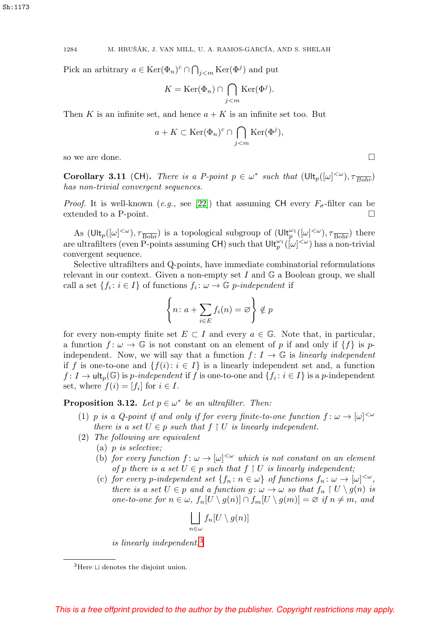Pick an arbitrary  $a \in \text{Ker}(\Phi_n)^c \cap \bigcap_{j \leq m} \text{Ker}(\Phi^j)$  and put

$$
K = \text{Ker}(\Phi_n) \cap \bigcap_{j < m} \text{Ker}(\Phi^j).
$$

Then K is an infinite set, and hence  $a + K$  is an infinite set too. But

$$
a + K \subset \text{Ker}(\Phi_n)^c \cap \bigcap_{j < m} \text{Ker}(\Phi^j),
$$

so we are done.  $\Box$ 

<span id="page-7-2"></span>**Corollary 3.11** (CH). There is a P-point  $p \in \omega^*$  such that  $(\text{Ult}_p([\omega]^{<\omega}), \tau_{\overline{Bohr}})$ has non-trivial convergent sequences.

*Proof.* It is well-known (e.g., see [\[22\]](#page-18-21)) that assuming CH every  $F_{\sigma}$ -filter can be extended to a P-point.

As  $(\text{Ult}_p([\omega]^{<\omega}), \tau_{\text{Bohr}})$  is a topological subgroup of  $(\text{Ult}_p^{\omega_1}([\omega]^{<\omega}), \tau_{\text{Bohr}})$  there are ultrafilters (even P-points assuming CH) such that  $\mathsf{Ult}_p^{\omega_1}([\omega]^{<\omega})$  has a non-trivial convergent sequence.

Selective ultrafilters and Q-points, have immediate combinatorial reformulations relevant in our context. Given a non-empty set  $I$  and  $\mathbb{G}$  a Boolean group, we shall call a set  $\{f_i : i \in I\}$  of functions  $f_i : \omega \to \mathbb{G}$  p-independent if

$$
\left\{ n \colon a + \sum_{i \in E} f_i(n) = \varnothing \right\} \notin p
$$

for every non-empty finite set  $E \subset I$  and every  $a \in \mathbb{G}$ . Note that, in particular, a function  $f: \omega \to \mathbb{G}$  is not constant on an element of p if and only if  $\{f\}$  is pindependent. Now, we will say that a function  $f: I \to \mathbb{G}$  is linearly independent if f is one-to-one and  $\{f(i): i \in I\}$  is a linearly independent set and, a function  $f: I \to \text{ult}_p(\mathbb{G})$  is p-independent if f is one-to-one and  $\{f_i : i \in I\}$  is a p-independent set, where  $f(i)=[f_i]$  for  $i \in I$ .

<span id="page-7-1"></span>**Proposition 3.12.** Let  $p \in \omega^*$  be an ultrafilter. Then:

- (1) p is a Q-point if and only if for every finite-to-one function  $f: \omega \to [\omega]^{<\omega}$ there is a set  $U \in p$  such that  $f \restriction U$  is linearly independent.
- (2) The following are equivalent
	- (a) p is selective;
	- (b) for every function  $f: \omega \to [\omega]^{<\omega}$  which is not constant on an element of p there is a set  $U \in p$  such that  $f \restriction U$  is linearly independent;
	- (c) for every p-independent set  $\{f_n : n \in \omega\}$  of functions  $f_n : \omega \to [\omega]^{<\omega}$ , there is a set  $U \in p$  and a function  $g: \omega \to \omega$  so that  $f_n \restriction U \setminus g(n)$  is one-to-one for  $n \in \omega$ ,  $f_n[U \setminus g(n)] \cap f_m[U \setminus g(m)] = \varnothing$  if  $n \neq m$ , and

$$
\bigsqcup_{n\in\omega}f_n[U\setminus g(n)]
$$

is linearly independent.[3](#page-7-0)

<span id="page-7-0"></span> ${}^{3}$ Here  $\sqcup$  denotes the disjoint union.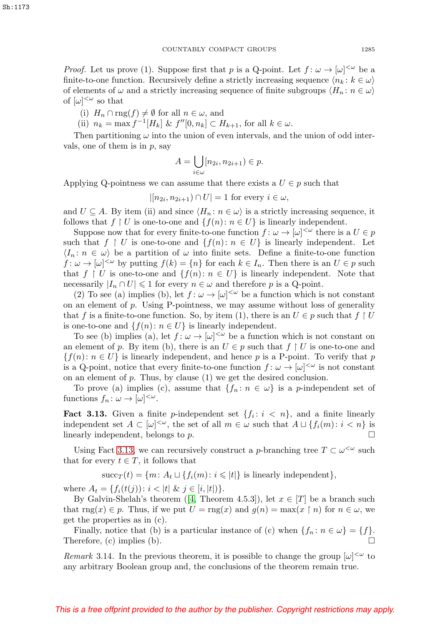*Proof.* Let us prove (1). Suppose first that p is a Q-point. Let  $f: \omega \to [\omega]^{<\omega}$  be a finite-to-one function. Recursively define a strictly increasing sequence  $\langle n_k : k \in \omega \rangle$ of elements of  $\omega$  and a strictly increasing sequence of finite subgroups  $\langle H_n : n \in \omega \rangle$ of  $[\omega]^{<\omega}$  so that

(i)  $H_n \cap \text{rng}(f) \neq \emptyset$  for all  $n \in \omega$ , and

(ii)  $n_k = \max f^{-1}[H_k] \& f''[0, n_k] \subset H_{k+1}$ , for all  $k \in \omega$ .

Then partitioning  $\omega$  into the union of even intervals, and the union of odd intervals, one of them is in  $p$ , say

$$
A = \bigcup_{i \in \omega} [n_{2i}, n_{2i+1}) \in p.
$$

Applying Q-pointness we can assume that there exists a  $U \in p$  such that

 $|[n_{2i}, n_{2i+1}) \cap U| = 1$  for every  $i \in \omega$ ,

and  $U \subseteq A$ . By item (ii) and since  $\langle H_n : n \in \omega \rangle$  is a strictly increasing sequence, it follows that  $f \restriction U$  is one-to-one and  $\{f(n): n \in U\}$  is linearly independent.

Suppose now that for every finite-to-one function  $f: \omega \to [\omega]^{<\omega}$  there is a  $U \in p$ such that  $f \restriction U$  is one-to-one and  $\{f(n): n \in U\}$  is linearly independent. Let  $\langle I_n : n \in \omega \rangle$  be a partition of  $\omega$  into finite sets. Define a finite-to-one function  $f: \omega \to [\omega]^{<\omega}$  by putting  $f(k) = \{n\}$  for each  $k \in I_n$ . Then there is an  $U \in p$  such that  $f \restriction U$  is one-to-one and  $\{f(n): n \in U\}$  is linearly independent. Note that necessarily  $|I_n \cap U| \leq 1$  for every  $n \in \omega$  and therefore p is a Q-point.

(2) To see (a) implies (b), let  $f: \omega \to [\omega]^{<\omega}$  be a function which is not constant on an element of  $p$ . Using P-pointness, we may assume without loss of generality that f is a finite-to-one function. So, by item (1), there is an  $U \in p$  such that  $f \restriction U$ is one-to-one and  $\{f(n): n \in U\}$  is linearly independent.

To see (b) implies (a), let  $f: \omega \to [\omega]^{<\omega}$  be a function which is not constant on an element of p. By item (b), there is an  $U \in p$  such that  $f \restriction U$  is one-to-one and  ${f(n): n \in U}$  is linearly independent, and hence p is a P-point. To verify that p is a Q-point, notice that every finite-to-one function  $f: \omega \to [\omega]^{<\omega}$  is not constant on an element of  $p$ . Thus, by clause  $(1)$  we get the desired conclusion.

To prove (a) implies (c), assume that  $\{f_n : n \in \omega\}$  is a *p*-independent set of functions  $f_n: \omega \to [\omega]^{<\omega}$ .

<span id="page-8-0"></span>**Fact 3.13.** Given a finite p-independent set  $\{f_i : i \leq n\}$ , and a finite linearly independent set  $A \subset [\omega]^{<\omega}$ , the set of all  $m \in \omega$  such that  $A \sqcup \{f_i(m): i < n\}$  is linearly independent, belongs to  $p$ .

Using Fact [3.13,](#page-8-0) we can recursively construct a p-branching tree  $T \subset \omega^{\leq \omega}$  such that for every  $t \in T$ , it follows that

$$
\mathrm{succ}_T(t) = \{m \colon A_t \sqcup \{f_i(m) \colon i \leqslant |t|\} \text{ is linearly independent}\},
$$

where  $A_t = \{f_i(t(j)) : i < |t| \& j \in [i, |t|] \}.$ 

By Galvin-Shelah's theorem ([\[4,](#page-17-9) Theorem 4.5.3]), let  $x \in [T]$  be a branch such that rng(x)  $\in$  p. Thus, if we put  $U = \text{rng}(x)$  and  $g(n) = \max(x \restriction n)$  for  $n \in \omega$ , we get the properties as in (c).

Finally, notice that (b) is a particular instance of (c) when  $\{f_n : n \in \omega\} = \{f\}.$ Therefore, (c) implies (b).

<span id="page-8-1"></span>Remark 3.14. In the previous theorem, it is possible to change the group  $[\omega]^{<\omega}$  to any arbitrary Boolean group and, the conclusions of the theorem remain true.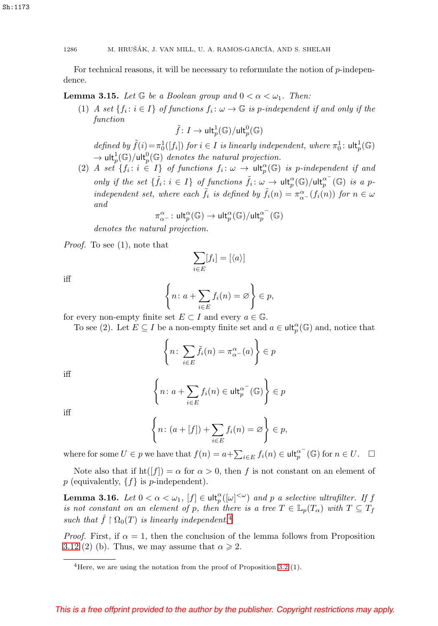Sh:1173

1286 M. HRUŠÁK, J. VAN MILL, U. A. RAMOS-GARCÍA, AND S. SHELAH

For technical reasons, it will be necessary to reformulate the notion of  $p$ -independence.

<span id="page-9-1"></span>**Lemma 3.15.** Let  $\mathbb{G}$  be a Boolean group and  $0 < \alpha < \omega_1$ . Then:

(1) A set  $\{f_i : i \in I\}$  of functions  $f_i : \omega \to \mathbb{G}$  is p-independent if and only if the function

$$
\tilde{f}\colon I\to \mathrm{ult}_p^1(\mathbb{G})/\mathrm{ult}_p^0(\mathbb{G})
$$

defined by  $\tilde{f}(i) = \pi_0^1([f_i])$  for  $i \in I$  is linearly independent, where  $\pi_0^1$ :  $\text{ult}_p^1(\mathbb{G})$  $\to$  ult $_p^1(\mathbb{G})$ /ult $_p^0(\mathbb{G})$  denotes the natural projection.

(2) A set  $\{f_i : i \in I\}$  of functions  $f_i : \omega \to \text{ult}_p^{\alpha}(\mathbb{G})$  is p-independent if and only if the set  $\{\tilde{f}_i : i \in I\}$  of functions  $\tilde{f}_i : \omega \to \mathsf{ult}_p^{\alpha}(\mathbb{G})/\mathsf{ult}_p^{\alpha^-}(\mathbb{G})$  is a pindependent set, where each  $\tilde{f}_i$  is defined by  $\tilde{f}_i(n) = \pi_{\alpha}^{\alpha}(\tilde{f}_i(n))$  for  $n \in \omega$ and

$$
\pi^\alpha_{\alpha^-}\colon \mathsf{ult}^\alpha_p(\mathbb{G})\to \mathsf{ult}^\alpha_p(\mathbb{G})/\mathsf{ult}^{\alpha^-}_p(\mathbb{G})
$$

denotes the natural projection.

Proof. To see (1), note that

$$
\sum_{i \in E} [f_i] = [\langle a \rangle]
$$

iff

$$
\left\{ n \colon a + \sum_{i \in E} f_i(n) = \varnothing \right\} \in p,
$$

for every non-empty finite set  $E \subset I$  and every  $a \in \mathbb{G}$ .

To see (2). Let  $E \subseteq I$  be a non-empty finite set and  $a \in \mathsf{ult}_p^{\alpha}(\mathbb{G})$  and, notice that

$$
\left\{ n \colon \sum_{i \in E} \tilde{f}_i(n) = \pi_{\alpha}^{\alpha}(a) \right\} \in p
$$

iff

$$
\left\{n\colon a+\sum_{i\in E}f_i(n)\in \mathsf{ult}_p^{\alpha^-}(\mathbb{G})\right\}\in p
$$

iff

$$
\left\{ n \colon (a + [f]) + \sum_{i \in E} f_i(n) = \varnothing \right\} \in p,
$$

where for some  $U \in p$  we have that  $f(n) = a + \sum_{i \in E} f_i(n) \in \mathsf{ult}_p^{\alpha^-}(\mathbb{G})$  for  $n \in U$ .  $\Box$ 

Note also that if  $\text{ht}([f]) = \alpha$  for  $\alpha > 0$ , then f is not constant on an element of  $p$  (equivalently,  $\{f\}$  is  $p$ -independent).

<span id="page-9-2"></span>**Lemma 3.16.** Let  $0 < \alpha < \omega_1$ ,  $[f] \in \mathrm{ult}_p^{\alpha}([\omega]^{<\omega})$  and p a selective ultrafilter. If f is not constant on an element of p, then there is a tree  $T \in \mathbb{L}_p(T_\alpha)$  with  $T \subseteq T_f$ such that  $\hat{f} \restriction \Omega_0(T)$  is linearly independent.<sup>[4](#page-9-0)</sup>

*Proof.* First, if  $\alpha = 1$ , then the conclusion of the lemma follows from Proposition [3.12](#page-7-1) (2) (b). Thus, we may assume that  $\alpha \geq 2$ .

<span id="page-9-0"></span><sup>4</sup>Here, we are using the notation from the proof of Proposition [3.2](#page-3-1) (1).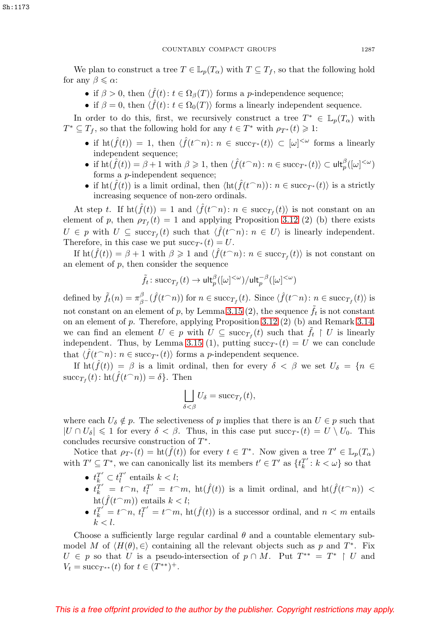We plan to construct a tree  $T \in \mathbb{L}_p(T_\alpha)$  with  $T \subseteq T_f$ , so that the following hold for any  $\beta \leqslant \alpha$ :

- if  $\beta > 0$ , then  $\langle \hat{f}(t) : t \in \Omega_{\beta}(T) \rangle$  forms a *p*-independence sequence;
- if  $\beta = 0$ , then  $\langle \hat{f}(t) : t \in \Omega_0(T) \rangle$  forms a linearly independent sequence.

In order to do this, first, we recursively construct a tree  $T^* \in \mathbb{L}_p(T_\alpha)$  with  $T^* \subseteq T_f$ , so that the following hold for any  $t \in T^*$  with  $\rho_{T^*}(t) \geq 1$ :

- if  $\mathrm{ht}(\hat{f}(t)) = 1$ , then  $\langle \hat{f}(t^{-}n): n \in \mathrm{succ}_{T^*}(t) \rangle \subset [\omega]^{<\omega}$  forms a linearly independent sequence;
- if  $\mathrm{ht}(\hat{f}(t)) = \beta + 1$  with  $\beta \geqslant 1$ , then  $\langle \hat{f}(t \cap n) : n \in \mathrm{succ}_{T^*}(t) \rangle \subset \mathsf{ult}_p^{\beta}([\omega]^{<\omega})$ forms a p-independent sequence;
- if  $\mathrm{ht}(\hat{f}(t))$  is a limit ordinal, then  $\langle \mathrm{ht}(\hat{f}(t\cap n)) : n \in \mathrm{succ}_{T^*}(t) \rangle$  is a strictly increasing sequence of non-zero ordinals.

At step t. If  $\text{ht}(\hat{f}(t)) = 1$  and  $\langle \hat{f}(t^{-}n): n \in \text{succ}_{T_f}(t) \rangle$  is not constant on an element of p, then  $\rho_{T_f}(t) = 1$  and applying Proposition [3.12](#page-7-1) (2) (b) there exists  $U \in p$  with  $U \subseteq \text{succ}_{T_f}(t)$  such that  $\langle \hat{f}(t \cap n): n \in U \rangle$  is linearly independent. Therefore, in this case we put  $succ_{T^*}(t) = U$ .

If  $\mathrm{ht}(\hat{f}(t)) = \beta + 1$  with  $\beta \geq 1$  and  $\langle \hat{f}(t) \cdot n \rangle \in \mathrm{succ}_{T_f}(t)$  is not constant on an element of  $p$ , then consider the sequence

$$
\tilde{f}_t \colon \mathrm{succ}_{T_f}(t) \to \mathsf{ult}_p^\beta([\omega]^{<\omega})/\mathsf{ult}_p^{-\beta}([\omega]^{<\omega})
$$

defined by  $\tilde{f}_t(n) = \pi_{\beta}^{\beta}(\hat{f}(t\cap n))$  for  $n \in \text{succ}_{T_f}(t)$ . Since  $\langle \hat{f}(t\cap n): n \in \text{succ}_{T_f}(t) \rangle$  is not constant on an element of p, by Lemma [3.15](#page-9-1) (2), the sequence  $\ddot{f}_t$  is not constant on an element of p. Therefore, applying Proposition [3.12](#page-7-1) (2) (b) and Remark [3.14,](#page-8-1) we can find an element  $U \in p$  with  $U \subseteq \text{succ}_{T_f}(t)$  such that  $\tilde{f}_t \restriction U$  is linearly independent. Thus, by Lemma [3.15](#page-9-1) (1), putting  $succ_{\tau^*}(t) = U$  we can conclude that  $\langle \hat{f}(t^{-}n) : n \in \text{succ}_{T^*}(t) \rangle$  forms a *p*-independent sequence.

If  $\text{ht}(\hat{f}(t)) = \beta$  is a limit ordinal, then for every  $\delta < \beta$  we set  $U_{\delta} = \{n \in$  $succ_{T_f}(t)$ :  $\text{ht}(\hat{f}(t\widehat{\hspace{0.1cm}} n)) = \delta\}.$  Then

$$
\bigsqcup_{\delta < \beta} U_{\delta} = \mathrm{succ}_{T_f}(t),
$$

where each  $U_{\delta} \notin p$ . The selectiveness of p implies that there is an  $U \in p$  such that  $|U \cap U_{\delta}| \leq 1$  for every  $\delta < \beta$ . Thus, in this case put succ<sub>T\*</sub> $(t) = U \setminus U_0$ . This concludes recursive construction of  $T^*$ .

Notice that  $\rho_{T^*}(t) = \text{ht}(\hat{f}(t))$  for every  $t \in T^*$ . Now given a tree  $T' \in \mathbb{L}_p(T_\alpha)$ with  $T' \subseteq T^*$ , we can canonically list its members  $t' \in T'$  as  $\{t_k^{T'}: k < \omega\}$  so that

- $t_k^{T'} \subset t_l^{T'}$  entails  $k < l$ ;
- $t_k^{T'} = t^n$ ,  $t_l^{T'} = t^m$ ,  $ht(\hat{f}(t))$  is a limit ordinal, and  $ht(\hat{f}(t^n)) <$  $\text{ht}(\hat{f}(t\widehat{\phantom{a}}m))$  entails  $k < l$ ;
- $t_k^{T'} = t^n$ ,  $t_l^{T'} = t^m$ ,  $\text{ht}(\hat{f}(t))$  is a successor ordinal, and  $n < m$  entails  $k < l$ .

Choose a sufficiently large regular cardinal  $\theta$  and a countable elementary submodel M of  $\langle H(\theta), \in \rangle$  containing all the relevant objects such as p and T<sup>\*</sup>. Fix  $U \in p$  so that U is a pseudo-intersection of  $p \cap M$ . Put  $T^{**} = T^* \upharpoonright U$  and  $V_t = \text{succ}_{T^{**}}(t)$  for  $t \in (T^{**})^+$ .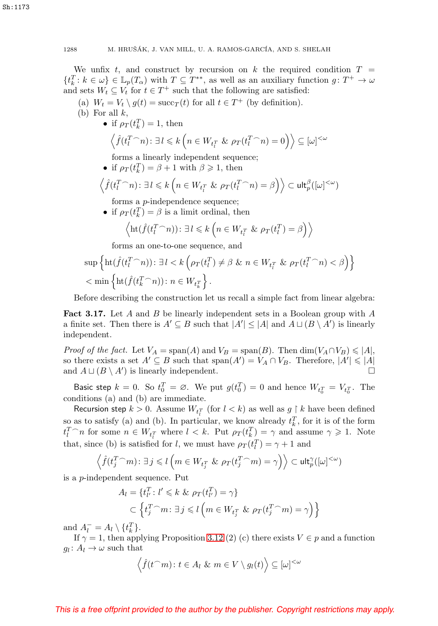We unfix t, and construct by recursion on k the required condition  $T =$  $\{t_k^T: k \in \omega\} \in \mathbb{L}_p(T_\alpha)$  with  $T \subseteq T^{**}$ , as well as an auxiliary function  $g: T^+ \to \omega$ and sets  $W_t \subseteq V_t$  for  $t \in T^+$  such that the following are satisfied:

- (a)  $W_t = V_t \setminus g(t) = \text{succ}_T(t)$  for all  $t \in T^+$  (by definition).
- (b) For all  $k$ ,
	- if  $\rho_T(t_k^T) = 1$ , then

$$
\left\langle \hat{f}(t_l^T \cap n) : \exists l \leq k \left( n \in W_{t_l^T} \& \rho_T(t_l^T \cap n) = 0 \right) \right\rangle \subseteq [\omega]^{<\omega}
$$

forms a linearly independent sequence;

• if  $\rho_T(t_k^T) = \beta + 1$  with  $\beta \geq 1$ , then

$$
\left\langle \hat{f}(t_l^T \cap n) \colon \exists \, l \leq k \left( n \in W_{t_l^T} \& \rho_T(t_l^T \cap n) = \beta \right) \right\rangle \subset \mathsf{ult}_p^{\beta}([\omega]^{<\omega})
$$

forms a p-independence sequence;

• if  $\rho_T(t_k^T) = \beta$  is a limit ordinal, then

$$
\left\langle \mathrm{ht}(\hat{f}(t_l^T \cap n)) : \exists l \leq k \left( n \in W_{t_l^T} \& \rho_T(t_l^T) = \beta \right) \right\rangle
$$

forms an one-to-one sequence, and

$$
\sup \left\{ \mathrm{ht}(\hat{f}(t_l^T \cap n)) : \exists l < k \left( \rho_T(t_l^T) \neq \beta \ \& \ n \in W_{t_l^T} \ \& \ \rho_T(t_l^T \cap n) < \beta \right) \right\} \\ < \min \left\{ \mathrm{ht}(\hat{f}(t_k^T \cap n)) : n \in W_{t_k^T} \right\}.
$$

Before describing the construction let us recall a simple fact from linear algebra:

<span id="page-11-0"></span>**Fact 3.17.** Let A and B be linearly independent sets in a Boolean group with A a finite set. Then there is  $A' \subseteq B$  such that  $|A'| \leq |A|$  and  $A \sqcup (B \setminus A')$  is linearly independent.

*Proof of the fact.* Let  $V_A = \text{span}(A)$  and  $V_B = \text{span}(B)$ . Then  $\dim(V_A \cap V_B) \leq |A|$ , so there exists a set  $A' \subseteq B$  such that  $\text{span}(A') = V_A \cap V_B$ . Therefore,  $|A'| \leq |A|$ and  $A \sqcup (B \setminus A')$  is linearly independent.

Basic step  $k = 0$ . So  $t_0^T = \emptyset$ . We put  $g(t_0^T) = 0$  and hence  $W_{t_0^T} = V_{t_0^T}$ . The conditions (a) and (b) are immediate.

Recursion step  $k > 0$ . Assume  $W_{t_l^T}$  (for  $l < k$ ) as well as  $g \restriction k$  have been defined so as to satisfy (a) and (b). In particular, we know already  $t_k^T$ , for it is of the form  $t_l^T$  and some  $n \in W_{t_l^T}$  where  $l \leq k$ . Put  $\rho_T(t_k^T) = \gamma$  and assume  $\gamma \geq 1$ . Note that, since (b) is satisfied for l, we must have  $\rho_T(t_l^T) = \gamma + 1$  and

$$
\left\langle \hat{f}(t_j^T \cap m) : \exists j \leq l \left( m \in W_{t_j^T} \& \rho_T(t_j^T \cap m) = \gamma \right) \right\rangle \subset \mathsf{ult}_p^{\gamma}([\omega]^{<\omega})
$$

is a p-independent sequence. Put

$$
A_l = \{t_{l'}^T : l' \le k \& \rho_T(t_{l'}^T) = \gamma\}
$$
  

$$
\subset \left\{t_j^T \cap m : \exists j \le l \left(m \in W_{t_j^T} \& \rho_T(t_j^T \cap m) = \gamma\right)\right\}
$$

and  $A_l^- = A_l \setminus \{t_k^T\}.$ 

If  $\gamma = 1$ , then applying Proposition [3.12](#page-7-1) (2) (c) there exists  $V \in p$  and a function  $g_l: A_l \to \omega$  such that

$$
\left\langle \hat{f}(t\widehat{\phantom{a}}m)\colon t\in A_l \& m\in V\setminus g_l(t) \right\rangle \subseteq [\omega]^{<\omega}
$$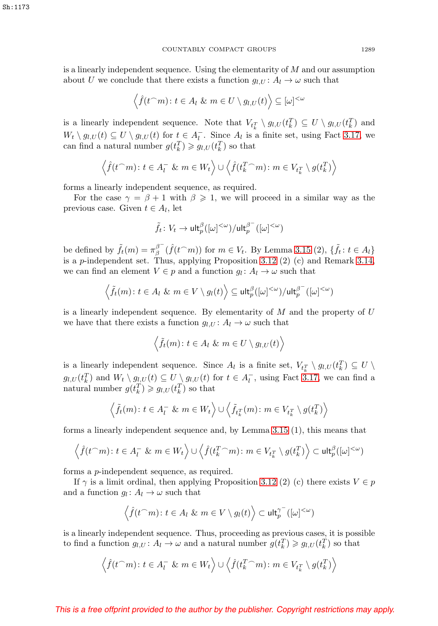is a linearly independent sequence. Using the elementarity of M and our assumption about U we conclude that there exists a function  $g_{l,U}: A_l \to \omega$  such that

$$
\left\langle \hat{f}(t\widehat{\phantom{a}}m)\colon t\in A_l \ \& \ m\in U\setminus g_{l,U}(t)\right\rangle \subseteq [\omega]^{<\omega}
$$

is a linearly independent sequence. Note that  $V_{t_k^T} \setminus g_{l,U}(t_k^T) \subseteq U \setminus g_{l,U}(t_k^T)$  and  $W_t \setminus g_{l,U}(t) \subseteq U \setminus g_{l,U}(t)$  for  $t \in A_l^-$ . Since  $A_l$  is a finite set, using Fact [3.17,](#page-11-0) we can find a natural number  $g(t_k^T) \geq g_{l,U}(t_k^T)$  so that

$$
\left\langle \hat{f}(t\widehat{\phantom{a}}m)\colon t\in A_{l}^{-}\ \&\ m\in W_{t}\right\rangle \cup \left\langle \hat{f}(t_{k}^{T}\widehat{\phantom{a}}m)\colon m\in V_{t_{k}^{T}}\setminus g(t_{k}^{T})\right\rangle
$$

forms a linearly independent sequence, as required.

For the case  $\gamma = \beta + 1$  with  $\beta \geq 1$ , we will proceed in a similar way as the previous case. Given  $t \in A_l$ , let

$$
\tilde{f}_t\colon V_t\to \mathsf{ult}_p^\beta([\omega]^{<\omega})/\mathsf{ult}_p^{\beta^-}([\omega]^{<\omega})
$$

be defined by  $\tilde{f}_t(m) = \pi_{\beta}^{\beta^-}(\hat{f}(t\cap m))$  for  $m \in V_t$ . By Lemma [3.15](#page-9-1) (2),  $\{\tilde{f}_t : t \in A_l\}$ is a p-independent set. Thus, applying Proposition [3.12](#page-7-1) (2) (c) and Remark [3.14,](#page-8-1) we can find an element  $V \in p$  and a function  $g_l : A_l \to \omega$  such that

$$
\left\langle \tilde{f}_t(m) \colon t \in A_l \ \& \ m \in V \setminus g_l(t) \right\rangle \subseteq \mathsf{ult}_p^\beta([\omega]^{<\omega}) / \mathsf{ult}_p^{\beta^-}([\omega]^{<\omega})
$$

is a linearly independent sequence. By elementarity of  $M$  and the property of  $U$ we have that there exists a function  $g_{l,U}: A_l \to \omega$  such that

$$
\left\langle \tilde{f}_t(m) \colon t \in A_l \ \& \ m \in U \setminus g_{l,U}(t) \right\rangle
$$

is a linearly independent sequence. Since  $A_l$  is a finite set,  $V_{t_k^T} \setminus g_{l,U}(t_k^T) \subseteq U \setminus$  $g_{l,U}(t_k^T)$  and  $W_t \setminus g_{l,U}(t) \subseteq U \setminus g_{l,U}(t)$  for  $t \in A_l^-$ , using Fact [3.17,](#page-11-0) we can find a natural number  $g(t_k^T) \geq g_{l,U}(t_k^T)$  so that

$$
\left\langle \tilde{f}_t(m) \colon t \in A_t^- \& m \in W_t \right\rangle \cup \left\langle \tilde{f}_{t_k^T}(m) \colon m \in V_{t_k^T} \setminus g(t_k^T) \right\rangle
$$

forms a linearly independent sequence and, by Lemma [3.15](#page-9-1) (1), this means that

$$
\left\langle \hat{f}(t\widehat{\phantom{a}}m)\colon t\in A_t^-\ \&\ m\in W_t\right\rangle\cup \left\langle \hat{f}(t_k^T\widehat{\phantom{a}}m)\colon m\in V_{t_k^T}\setminus g(t_k^T)\right\rangle\subset \mathsf{ult}_p^\beta([\omega]^{<\omega})
$$

forms a p-independent sequence, as required.

If  $\gamma$  is a limit ordinal, then applying Proposition [3.12](#page-7-1) (2) (c) there exists  $V \in p$ and a function  $g_l: A_l \to \omega$  such that

$$
\left\langle \hat{f}(t\widehat{\phantom{a}}m)\colon t\in A_l \ \& \ m\in V\setminus g_l(t) \right\rangle \subset \mathsf{ult}_p^{\gamma^-}([\omega]^{<\omega})
$$

is a linearly independent sequence. Thus, proceeding as previous cases, it is possible to find a function  $g_{l,U}: A_l \to \omega$  and a natural number  $g(t_k^T) \geq g_{l,U}(t_k^T)$  so that

$$
\left\langle \hat{f}(t\widehat{\ }\;\;m): t \in A_t^- \& \; m \in W_t \right\rangle \cup \left\langle \hat{f}(t_k^T\widehat{\ }\;\;m): m \in V_{t_k^T} \setminus g(t_k^T) \right\rangle
$$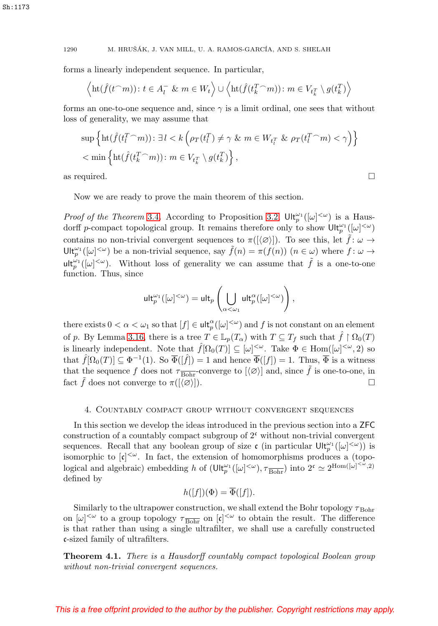forms a linearly independent sequence. In particular,

$$
\left\langle \mathrm{ht}(\hat{f}(t\widehat{\phantom{a}}\,m))\colon t\in A_{l}^{-}\ \&\ m\in W_{t}\right\rangle\cup\left\langle \mathrm{ht}(\hat{f}(t_{k}^{T}\widehat{\phantom{a}}\,m))\colon m\in V_{t_{k}^{T}}\setminus g(t_{k}^{T})\right\rangle
$$

forms an one-to-one sequence and, since  $\gamma$  is a limit ordinal, one sees that without loss of generality, we may assume that

$$
\sup \left\{ \mathrm{ht}(\hat{f}(t_l^T \cap m)) : \exists l < k \left( \rho_T(t_l^T) \neq \gamma \ \& m \in W_{t_l^T} \ \& \rho_T(t_l^T \cap m) < \gamma \right) \right\} < \min \left\{ \mathrm{ht}(\hat{f}(t_k^T \cap m)) : m \in V_{t_k^T} \setminus g(t_k^T) \right\},
$$

as required.  $\Box$ 

Now we are ready to prove the main theorem of this section.

*Proof of the Theorem [3.4](#page-4-1).* According to Proposition [3.2,](#page-3-1)  $\mathsf{Ult}_p^{\omega_1}([\omega]^{<\omega})$  is a Hausdorff p-compact topological group. It remains therefore only to show  $\mathsf{Ult}_p^{\omega_1}([\omega]^{<\omega})$ contains no non-trivial convergent sequences to  $\pi([\langle \varnothing \rangle])$ . To see this, let  $\hat{f} : \omega \to$ Ult<sup> $\omega_1(\omega)^{<\omega}$ </sup> be a non-trivial sequence, say  $\tilde{f}(n) = \pi(f(n))$   $(n \in \omega)$  where  $f: \omega \to$ ult<sub>p</sub><sup> $\omega_1([\omega]^{<\omega})$ . Without loss of generality we can assume that  $\tilde{f}$  is a one-to-one</sup> function. Thus, since

$$
\mathsf{ult}_p^{\omega_1}([\omega]^{<\omega}) = \mathsf{ult}_p\left(\bigcup_{\alpha<\omega_1} \mathsf{ult}_p^{\alpha}([\omega]^{<\omega})\right),
$$

there exists  $0 < \alpha < \omega_1$  so that  $[f] \in \mathsf{ult}_p^{\alpha}([\omega]^{<\omega})$  and f is not constant on an element of p. By Lemma [3.16,](#page-9-2) there is a tree  $T \in \mathbb{L}_p(T_\alpha)$  with  $T \subseteq T_f$  such that  $\hat{f} \restriction \Omega_0(T)$ is linearly independent. Note that  $\hat{f}[\Omega_0(T)] \subseteq [\omega]^{<\omega}$ . Take  $\Phi \in \text{Hom}([\omega]^{<\omega}, 2)$  so that  $\hat{f}[\Omega_0(T)] \subseteq \Phi^{-1}(1)$ . So  $\overline{\Phi}([\hat{f}]) = 1$  and hence  $\overline{\Phi}([f]) = 1$ . Thus,  $\overline{\Phi}$  is a witness that the sequence f does not  $\tau_{\overline{Bohr}}$ -converge to  $[\langle \varnothing \rangle]$  and, since  $\tilde{f}$  is one-to-one, in fact  $\tilde{f}$  does not converge to  $\pi([\langle \varnothing \rangle])$ .

# 4. Countably compact group without convergent sequences

In this section we develop the ideas introduced in the previous section into a ZFC construction of a countably compact subgroup of  $2<sup>c</sup>$  without non-trivial convergent sequences. Recall that any boolean group of size  $\mathfrak{c}$  (in particular  $\mathsf{Ult}_p^{\omega_1}([\omega]^{<\omega})$ ) is isomorphic to  $[\mathfrak{c}]^{\leq \omega}$ . In fact, the extension of homomorphisms produces a (topological and algebraic) embedding h of  $(\text{Ult}_p^{\omega_1}([\omega]^{<\omega}), \tau_{\text{Bohr}})$  into  $2^{\mathfrak{c}} \simeq 2^{\text{Hom}([\omega]^{<\omega}, 2)}$ defined by

$$
h([f])(\Phi) = \overline{\Phi}([f]).
$$

Similarly to the ultrapower construction, we shall extend the Bohr topology  $\tau_{\text{Bohr}}$ on  $[\omega]^{<\omega}$  to a group topology  $\tau_{\overline{Bohr}}$  on  $[\mathfrak{c}]^{<\omega}$  to obtain the result. The difference is that rather than using a single ultrafilter, we shall use a carefully constructed c-sized family of ultrafilters.

<span id="page-13-0"></span>**Theorem 4.1.** There is a Hausdorff countably compact topological Boolean group without non-trivial convergent sequences.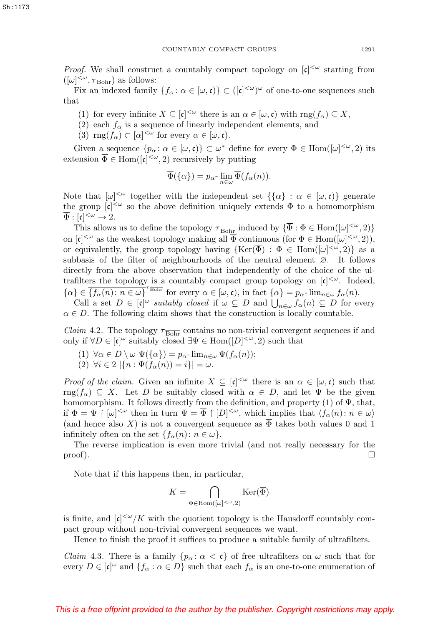*Proof.* We shall construct a countably compact topology on  $[\mathfrak{c}]^{\langle \omega \rangle}$  starting from  $([\omega]^{<\omega}, \tau_{\text{Bohr}})$  as follows:

Fix an indexed family  $\{f_\alpha : \alpha \in [\omega, \mathfrak{c}] \} \subset ([\mathfrak{c}]^{\langle \omega \rangle})^\omega$  of one-to-one sequences such that

- (1) for every infinite  $X \subseteq [\mathfrak{c}]^{\leq \omega}$  there is an  $\alpha \in [\omega, \mathfrak{c})$  with  $\text{rng}(f_\alpha) \subseteq X$ ,
- (2) each  $f_{\alpha}$  is a sequence of linearly independent elements, and
- (3)  $\text{rng}(f_{\alpha}) \subset [\alpha]^{<\omega}$  for every  $\alpha \in [\omega, \mathfrak{c})$ .

Given a sequence  $\{p_\alpha : \alpha \in [\omega, \mathfrak{c})\} \subset \omega^*$  define for every  $\Phi \in \text{Hom}([\omega]^{<\omega}, 2)$  its extension  $\overline{\Phi} \in \text{Hom}([\mathfrak{c}]^{<\omega}, 2)$  recursively by putting

$$
\overline{\Phi}(\{\alpha\}) = p_{\alpha} \cdot \lim_{n \in \omega} \overline{\Phi}(f_{\alpha}(n)).
$$

Note that  $[\omega]^{<\omega}$  together with the independent set  $\{\{\alpha\} : \alpha \in [\omega, \mathfrak{c})\}$  generate the group  $[\mathfrak{c}]^{\langle\omega\rangle}$  so the above definition uniquely extends  $\Phi$  to a homomorphism  $\overline{\Phi} : [\mathfrak{c}]^{<\omega} \to 2.$ 

This allows us to define the topology  $\tau_{\overline{Bohr}}$  induced by  $\{\overline{\Phi} : \Phi \in \text{Hom}([\omega]^{<\omega}, 2)\}\$ on  $[\mathfrak{c}]^{<\omega}$  as the weakest topology making all  $\overline{\Phi}$  continuous (for  $\Phi \in \text{Hom}([\omega]^{<\omega}, 2)$ ), or equivalently, the group topology having  $\{\text{Ker}(\overline{\Phi}) : \Phi \in \text{Hom}([\omega]^{<\omega}, 2)\}\$  as a subbasis of the filter of neighbourhoods of the neutral element ∅. It follows directly from the above observation that independently of the choice of the ultrafilters the topology is a countably compact group topology on  $[\mathfrak{c}]^{\langle \omega}$ . Indeed,  $\{\alpha\} \in \overline{\{f_{\alpha}(n) : n \in \omega\}}^{\tau_{\overline{\text{Bohr}}}}$  for every  $\alpha \in [\omega, \mathfrak{c}),$  in fact  $\{\alpha\} = p_{\alpha}$ -lim<sub>n $\in \omega$ </sub>  $f_{\alpha}(n)$ .

Call a set  $D \in [\mathfrak{c}]^{\omega}$  suitably closed if  $\omega \subseteq D$  and  $\bigcup_{n \in \omega} f_{\alpha}(n) \subseteq D$  for every  $\alpha \in D$ . The following claim shows that the construction is locally countable.

<span id="page-14-0"></span>*Claim* 4.2. The topology  $\tau_{\overline{Bohr}}$  contains no non-trivial convergent sequences if and only if  $\forall D \in [\mathfrak{c}]^{\omega}$  suitably closed  $\exists \Psi \in \text{Hom}([D]^{<\omega}, 2)$  such that

(1)  $\forall \alpha \in D \setminus \omega \ \Psi(\{\alpha\}) = p_{\alpha}$ -  $\lim_{n \in \omega} \Psi(f_{\alpha}(n));$ (2)  $\forall i \in 2 \, |\{n : \Psi(f_\alpha(n)) = i\}| = \omega.$ 

*Proof of the claim.* Given an infinite  $X \subseteq [\mathfrak{c}]^{\leq \omega}$  there is an  $\alpha \in [\omega, \mathfrak{c})$  such that rng( $f_{\alpha}$ )  $\subseteq X$ . Let D be suitably closed with  $\alpha \in D$ , and let  $\Psi$  be the given homomorphism. It follows directly from the definition, and property (1) of  $\Psi$ , that, if  $\Phi = \Psi \restriction [\omega]^{<\omega}$  then in turn  $\Psi = \overline{\Phi} \restriction [D]^{<\omega}$ , which implies that  $\langle f_\alpha(n) : n \in \omega \rangle$ (and hence also X) is not a convergent sequence as  $\overline{\Phi}$  takes both values 0 and 1 infinitely often on the set  $\{f_{\alpha}(n): n \in \omega\}.$ 

The reverse implication is even more trivial (and not really necessary for the  $\Box$  proof).

Note that if this happens then, in particular,

$$
K=\bigcap_{\Phi\in \mathrm{Hom}([\omega]^{<\omega},2)}\mathrm{Ker}(\overline{\Phi})
$$

is finite, and  $[\mathfrak{c}]^{\langle\omega\rangle}/K$  with the quotient topology is the Hausdorff countably compact group without non-trivial convergent sequences we want.

Hence to finish the proof it suffices to produce a suitable family of ultrafilters.

<span id="page-14-1"></span>*Claim* 4.3. There is a family  $\{p_{\alpha} : \alpha < \mathfrak{c}\}\$  of free ultrafilters on  $\omega$  such that for every  $D \in [\mathfrak{c}]^{\omega}$  and  $\{f_{\alpha} : \alpha \in D\}$  such that each  $f_{\alpha}$  is an one-to-one enumeration of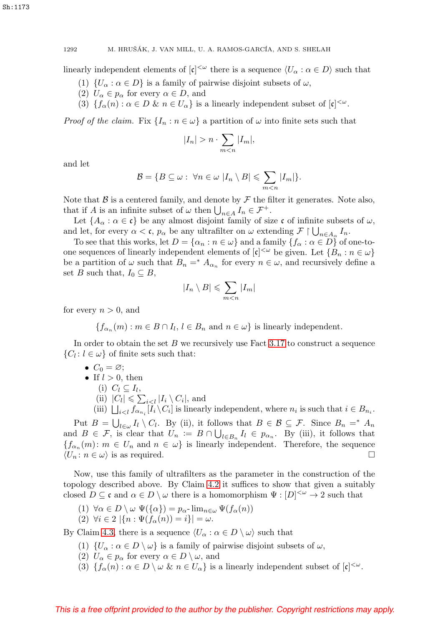linearly independent elements of  $[\mathfrak{c}]^{\langle\omega\rangle}$  there is a sequence  $\langle U_\alpha : \alpha \in D \rangle$  such that

- (1)  $\{U_{\alpha} : \alpha \in D\}$  is a family of pairwise disjoint subsets of  $\omega$ ,
- (2)  $U_{\alpha} \in p_{\alpha}$  for every  $\alpha \in D$ , and
- (3)  $\{f_{\alpha}(n):\alpha\in D\ \&\ n\in U_{\alpha}\}\$ is a linearly independent subset of  $[\mathfrak{c}]^{<\omega}$ .

*Proof of the claim.* Fix  $\{I_n : n \in \omega\}$  a partition of  $\omega$  into finite sets such that

$$
|I_n| > n \cdot \sum_{m < n} |I_m|,
$$

and let

$$
\mathcal{B} = \{ B \subseteq \omega : \ \forall n \in \omega \ | I_n \setminus B \leqslant \sum_{m < n} |I_m| \}.
$$

Note that  $\beta$  is a centered family, and denote by  $\mathcal F$  the filter it generates. Note also, that if A is an infinite subset of  $\omega$  then  $\bigcup_{n\in A} I_n \in \mathcal{F}^+$ .

Let  $\{A_\alpha : \alpha \in \mathfrak{c}\}\$ be any almost disjoint family of size  $\mathfrak{c}$  of infinite subsets of  $\omega$ , and let, for every  $\alpha < \mathfrak{c}$ ,  $p_{\alpha}$  be any ultrafilter on  $\omega$  extending  $\mathcal{F} \upharpoonright \bigcup_{n \in A_{\alpha}} I_n$ .

To see that this works, let  $D = {\alpha_n : n \in \omega}$  and a family  ${f_\alpha : \alpha \in D}$  of one-toone sequences of linearly independent elements of  $[\mathfrak{c}]^{\langle \omega \rangle}$  be given. Let  $\{B_n : n \in \omega\}$ be a partition of  $\omega$  such that  $B_n = * A_{\alpha_n}$  for every  $n \in \omega$ , and recursively define a set B such that,  $I_0 \subseteq B$ ,

$$
|I_n \setminus B| \leqslant \sum_{m < n} |I_m|
$$

for every  $n > 0$ , and

 ${f_{\alpha_n}(m) : m \in B \cap I_l, l \in B_n \text{ and } n \in \omega}$  is linearly independent.

In order to obtain the set  $B$  we recursively use Fact [3.17](#page-11-0) to construct a sequence  $\{C_l : l \in \omega\}$  of finite sets such that:

$$
\bullet \ \ C_0=\varnothing;
$$

\n- If 
$$
l > 0
$$
, then\n
	\n- (i)  $C_l \subseteq I_l$ ,
	\n- (ii)  $|C_l| \leq \sum_{i < l} |I_i \setminus C_i|$ , and
	\n\n
\n

(iii)  $\bigcup_{i\leq l} f_{\alpha_{n_i}}[I_i \setminus C_i]$  is linearly independent, where  $n_i$  is such that  $i \in B_{n_i}$ .

Put  $B = \bigcup_{l \in \omega} I_l \setminus C_l$ . By (ii), it follows that  $B \in \mathcal{B} \subseteq \mathcal{F}$ . Since  $B_n =^* A_n$ and  $B \in \mathcal{F}$ , is clear that  $U_n := B \cap \bigcup_{l \in B_n} I_l \in p_{\alpha_n}$ . By (iii), it follows that  ${f_{\alpha_n}(m): m \in U_n \text{ and } n \in \omega}$  is linearly independent. Therefore, the sequence  $\langle U_n : n \in \omega \rangle$  is as required.

Now, use this family of ultrafilters as the parameter in the construction of the topology described above. By Claim [4.2](#page-14-0) it suffices to show that given a suitably closed  $D \subseteq \mathfrak{c}$  and  $\alpha \in D \setminus \omega$  there is a homomorphism  $\Psi : [D]^{<\omega} \to 2$  such that

- (1)  $\forall \alpha \in D \setminus \omega \Psi(\{\alpha\}) = p_{\alpha}$   $\lim_{n \in \omega} \Psi(f_{\alpha}(n))$
- (2)  $\forall i \in 2 \, |\{n : \Psi(f_{\alpha}(n)) = i\}| = \omega.$

By Claim [4.3,](#page-14-1) there is a sequence  $\langle U_{\alpha} : \alpha \in D \setminus \omega \rangle$  such that

- (1)  $\{U_{\alpha} : \alpha \in D \setminus \omega\}$  is a family of pairwise disjoint subsets of  $\omega$ ,
- (2)  $U_{\alpha} \in p_{\alpha}$  for every  $\alpha \in D \setminus \omega$ , and
- (3)  $\{f_{\alpha}(n):\alpha\in D\setminus\omega \& n\in U_{\alpha}\}\$ is a linearly independent subset of  $[c]^{<\omega}$ .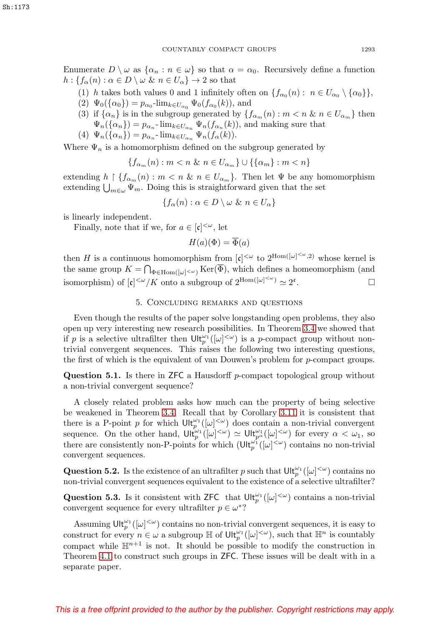Enumerate  $D \setminus \omega$  as  $\{\alpha_n : n \in \omega\}$  so that  $\alpha = \alpha_0$ . Recursively define a function  $h: \{f_{\alpha}(n): \alpha \in D \setminus \omega \ \& \ n \in U_{\alpha}\} \rightarrow 2$  so that

- (1) h takes both values 0 and 1 infinitely often on  $\{f_{\alpha_0}(n): n \in U_{\alpha_0} \setminus {\{\alpha_0}\}\}\,$
- (2)  $\Psi_0({\alpha_0}) = p_{\alpha_0}$ -lim<sub>k∈U<sub>α0</sub></sub>  $\Psi_0(f_{\alpha_0}(k))$ , and
- (3) if  $\{\alpha_n\}$  is in the subgroup generated by  $\{f_{\alpha_m}(n) : m < n \& n \in U_{\alpha_m}\}\$  then  $\Psi_n(\{\alpha_n\}) = p_{\alpha_n}$ -  $\lim_{k \in U_{\alpha_n}} \Psi_n(f_{\alpha_n}(k))$ , and making sure that
- (4)  $\Psi_n(\{\alpha_n\}) = p_{\alpha_n}$   $\lim_{k \in U_{\alpha_n}} \Psi_n(f_\alpha(k)).$

Where  $\Psi_n$  is a homomorphism defined on the subgroup generated by

$$
\{f_{\alpha_m}(n) : m < n \ \& \ n \in U_{\alpha_m}\} \cup \{\{\alpha_m\} : m < n\}
$$

extending  $h \restriction \{f_{\alpha_m}(n) : m \leq n \& n \in U_{\alpha_m}\}.$  Then let  $\Psi$  be any homomorphism extending  $\bigcup_{m\in\omega}\Psi_m$ . Doing this is straightforward given that the set

$$
\{f_{\alpha}(n): \alpha \in D \setminus \omega \& n \in U_{\alpha}\}\
$$

is linearly independent.

Finally, note that if we, for  $a \in [\mathfrak{c}]^{\leq \omega}$ , let

$$
H(a)(\Phi) = \overline{\Phi}(a)
$$

then H is a continuous homomorphism from  $[\mathfrak{c}]^{<\omega}$  to  $2^{\text{Hom}([\omega]^{<\omega},2)}$  whose kernel is the same group  $K = \bigcap_{\Phi \in \text{Hom}([\omega]^{<\omega})} \text{Ker}(\Phi)$ , which defines a homeomorphism (and isomorphism) of  $[\mathfrak{c}]^{\langle \omega \rangle}/K$  onto a subgroup of  $2^{\text{Hom}([\omega]^{<\omega})} \simeq 2^{\mathfrak{c}}$ .

# 5. Concluding remarks and questions

Even though the results of the paper solve longstanding open problems, they also open up very interesting new research possibilities. In Theorem [3.4](#page-4-1) we showed that if p is a selective ultrafilter then  $\mathrm{Ult}_p^{\omega_1}([\omega]^{<\omega})$  is a p-compact group without nontrivial convergent sequences. This raises the following two interesting questions, the first of which is the equivalent of van Douwen's problem for p-compact groups.

**Question 5.1.** Is there in ZFC a Hausdorff p-compact topological group without a non-trivial convergent sequence?

A closely related problem asks how much can the property of being selective be weakened in Theorem [3.4.](#page-4-1) Recall that by Corollary [3.11](#page-7-2) it is consistent that there is a P-point p for which  $\mathrm{Ult}_p^{\omega_1}([\omega]^{<\omega})$  does contain a non-trivial convergent sequence. On the other hand,  $\mathsf{Ult}_{p}^{\omega_1}([\omega]^{<\omega}) \simeq \mathsf{Ult}_{p^{\alpha}}^{\omega_1}([\omega]^{<\omega})$  for every  $\alpha < \omega_1$ , so there are consistently non-P-points for which  $(\mathrm{Ult}_p^{\omega_1}([\omega]^{<\omega})$  contains no non-trivial convergent sequences.

**Question 5.2.** Is the existence of an ultrafilter p such that  $\mathsf{Ult}_p^{\omega_1}([\omega]^{<\omega})$  contains no non-trivial convergent sequences equivalent to the existence of a selective ultrafilter?

**Question 5.3.** Is it consistent with ZFC that  $\mathsf{Ult}_p^{\omega_1}([\omega]^{<\omega})$  contains a non-trivial convergent sequence for every ultrafilter  $p \in \omega^*$ ?

Assuming  $\mathsf{Ult}_p^{\omega_1}([\omega]^{<\omega})$  contains no non-trivial convergent sequences, it is easy to construct for every  $n \in \omega$  a subgroup  $\mathbb{H}$  of  $\mathsf{Ult}_p^{\omega_1}([\omega]^{<\omega})$ , such that  $\mathbb{H}^n$  is countably compact while  $\mathbb{H}^{n+1}$  is not. It should be possible to modify the construction in Theorem [4.1](#page-13-0) to construct such groups in ZFC. These issues will be dealt with in a separate paper.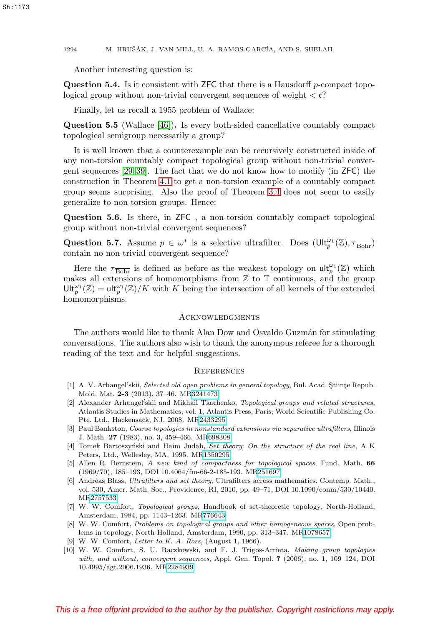Another interesting question is:

**Question 5.4.** Is it consistent with ZFC that there is a Hausdorff p-compact topological group without non-trivial convergent sequences of weight  $\langle \mathfrak{c} \rangle$ ?

Finally, let us recall a 1955 problem of Wallace:

**Question 5.5** (Wallace [\[46\]](#page-19-8))**.** Is every both-sided cancellative countably compact topological semigroup necessarily a group?

It is well known that a counterexample can be recursively constructed inside of any non-torsion countably compact topological group without non-trivial convergent sequences [\[29,](#page-18-22) [39\]](#page-19-9). The fact that we do not know how to modify (in ZFC) the construction in Theorem [4.1](#page-13-0) to get a non-torsion example of a countably compact group seems surprising. Also the proof of Theorem [3.4](#page-4-1) does not seem to easily generalize to non-torsion groups. Hence:

**Question 5.6.** Is there, in ZFC , a non-torsion countably compact topological group without non-trivial convergent sequences?

**Question 5.7.** Assume  $p \in \omega^*$  is a selective ultrafilter. Does  $(\text{Ult}_p^{\omega_1}(\mathbb{Z}), \tau_{\text{Bohr}})$ contain no non-trivial convergent sequence?

Here the  $\tau_{\overline{\text{Bohr}}}$  is defined as before as the weakest topology on  $\mathsf{ult}_p^{\omega_1}(\mathbb{Z})$  which makes all extensions of homomorphisms from  $\mathbb Z$  to  $\mathbb T$  continuous, and the group  $\mathsf{Ult}^{\omega_1}_p(\mathbb{Z})=\mathsf{ult}^{\omega_1}_p(\mathbb{Z})/K$  with K being the intersection of all kernels of the extended homomorphisms.

# **ACKNOWLEDGMENTS**

The authors would like to thank Alan Dow and Osvaldo Guzmán for stimulating conversations. The authors also wish to thank the anonymous referee for a thorough reading of the text and for helpful suggestions.

# **REFERENCES**

- <span id="page-17-4"></span>[1] A. V. Arhangel'skii, Selected old open problems in general topology, Bul. Acad. Stiinte Repub. Mold. Mat. **2-3** (2013), 37–46. M[R3241473](https://www.ams.org/mathscinet-getitem?mr=3241473)
- <span id="page-17-5"></span>[2] Alexander Arhangel'skii and Mikhail Tkachenko, Topological groups and related structures, Atlantis Studies in Mathematics, vol. 1, Atlantis Press, Paris; World Scientific Publishing Co. Pte. Ltd., Hackensack, NJ, 2008. M[R2433295](https://www.ams.org/mathscinet-getitem?mr=2433295)
- <span id="page-17-8"></span>[3] Paul Bankston, Coarse topologies in nonstandard extensions via separative ultrafilters, Illinois J. Math. **27** (1983), no. 3, 459–466. M[R698308](https://www.ams.org/mathscinet-getitem?mr=698308)
- <span id="page-17-9"></span>[4] Tomek Bartoszyński and Haim Judah, Set theory: On the structure of the real line, A K Peters, Ltd., Wellesley, MA, 1995. M[R1350295](https://www.ams.org/mathscinet-getitem?mr=1350295)
- <span id="page-17-6"></span>[5] Allen R. Bernstein, A new kind of compactness for topological spaces, Fund. Math. **66** (1969/70), 185–193, DOI 10.4064/fm-66-2-185-193. M[R251697](https://www.ams.org/mathscinet-getitem?mr=251697)
- <span id="page-17-7"></span>[6] Andreas Blass, Ultrafilters and set theory, Ultrafilters across mathematics, Contemp. Math., vol. 530, Amer. Math. Soc., Providence, RI, 2010, pp. 49–71, DOI 10.1090/conm/530/10440. M[R2757533](https://www.ams.org/mathscinet-getitem?mr=2757533)
- <span id="page-17-0"></span>[7] W. W. Comfort, Topological groups, Handbook of set-theoretic topology, North-Holland, Amsterdam, 1984, pp. 1143–1263. M[R776643](https://www.ams.org/mathscinet-getitem?mr=776643)
- <span id="page-17-2"></span>[8] W. W. Comfort, Problems on topological groups and other homogeneous spaces, Open problems in topology, North-Holland, Amsterdam, 1990, pp. 313–347. M[R1078657](https://www.ams.org/mathscinet-getitem?mr=1078657)
- <span id="page-17-1"></span>[9] W. W. Comfort, Letter to K. A. Ross, (August 1, 1966).
- <span id="page-17-3"></span>[10] W. W. Comfort, S. U. Raczkowski, and F. J. Trigos-Arrieta, Making group topologies with, and without, convergent sequences, Appl. Gen. Topol. **7** (2006), no. 1, 109–124, DOI 10.4995/agt.2006.1936. M[R2284939](https://www.ams.org/mathscinet-getitem?mr=2284939)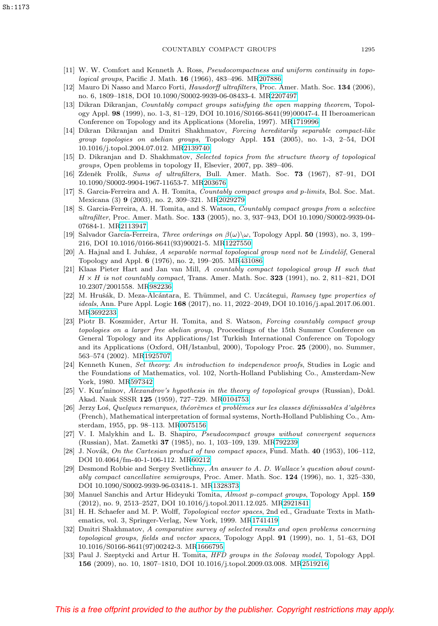- <span id="page-18-0"></span>[11] W. W. Comfort and Kenneth A. Ross, Pseudocompactness and uniform continuity in topological groups, Pacific J. Math. **16** (1966), 483–496. M[R207886](https://www.ams.org/mathscinet-getitem?mr=207886)
- <span id="page-18-19"></span>[12] Mauro Di Nasso and Marco Forti, Hausdorff ultrafilters, Proc. Amer. Math. Soc. **134** (2006), no. 6, 1809–1818, DOI 10.1090/S0002-9939-06-08433-4. M[R2207497](https://www.ams.org/mathscinet-getitem?mr=2207497)
- <span id="page-18-10"></span>[13] Dikran Dikranjan, Countably compact groups satisfying the open mapping theorem, Topology Appl. **98** (1999), no. 1-3, 81–129, DOI 10.1016/S0166-8641(99)00047-4. II Iberoamerican Conference on Topology and its Applications (Morelia, 1997). M[R1719996](https://www.ams.org/mathscinet-getitem?mr=1719996)
- <span id="page-18-11"></span>[14] Dikran Dikranjan and Dmitri Shakhmatov, Forcing hereditarily separable compact-like group topologies on abelian groups, Topology Appl. **151** (2005), no. 1-3, 2–54, DOI 10.1016/j.topol.2004.07.012. M[R2139740](https://www.ams.org/mathscinet-getitem?mr=2139740)
- <span id="page-18-13"></span>[15] D. Dikranjan and D. Shakhmatov, Selected topics from the structure theory of topological groups, Open problems in topology II, Elsevier, 2007, pp. 389–406.
- <span id="page-18-15"></span>[16] Zdeněk Frolík, Sums of ultrafilters, Bull. Amer. Math. Soc. **73** (1967), 87–91, DOI 10.1090/S0002-9904-1967-11653-7. M[R203676](https://www.ams.org/mathscinet-getitem?mr=203676)
- <span id="page-18-5"></span>[17] S. Garcia-Ferreira and A. H. Tomita, Countably compact groups and p-limits, Bol. Soc. Mat. Mexicana (3) **9** (2003), no. 2, 309–321. M[R2029279](https://www.ams.org/mathscinet-getitem?mr=2029279)
- <span id="page-18-6"></span>[18] S. Garcia-Ferreira, A. H. Tomita, and S. Watson, Countably compact groups from a selective ultrafilter, Proc. Amer. Math. Soc. **133** (2005), no. 3, 937–943, DOI 10.1090/S0002-9939-04- 07684-1. M[R2113947](https://www.ams.org/mathscinet-getitem?mr=2113947)
- <span id="page-18-16"></span>[19] Salvador García-Ferreira, *Three orderings on*  $\beta(\omega)\setminus\omega$ , Topology Appl. **50** (1993), no. 3, 199– 216, DOI 10.1016/0166-8641(93)90021-5. M[R1227550](https://www.ams.org/mathscinet-getitem?mr=1227550)
- <span id="page-18-3"></span>[20] A. Hajnal and I. Juhász, A separable normal topological group need not be Lindelöf, General Topology and Appl. **6** (1976), no. 2, 199–205. M[R431086](https://www.ams.org/mathscinet-getitem?mr=431086)
- <span id="page-18-2"></span>[21] Klaas Pieter Hart and Jan van Mill, A countably compact topological group H such that  $H \times H$  is not countably compact, Trans. Amer. Math. Soc. **323** (1991), no. 2, 811–821, DOI 10.2307/2001558. M[R982236](https://www.ams.org/mathscinet-getitem?mr=982236)
- <span id="page-18-21"></span>[22] M. Hrušák, D. Meza-Alcántara, E. Thümmel, and C. Uzcátegui, Ramsey type properties of ideals, Ann. Pure Appl. Logic **168** (2017), no. 11, 2022–2049, DOI 10.1016/j.apal.2017.06.001. M[R3692233](https://www.ams.org/mathscinet-getitem?mr=3692233)
- <span id="page-18-7"></span>[23] Piotr B. Koszmider, Artur H. Tomita, and S. Watson, Forcing countably compact group topologies on a larger free abelian group, Proceedings of the 15th Summer Conference on General Topology and its Applications/1st Turkish International Conference on Topology and its Applications (Oxford, OH/Istanbul, 2000), Topology Proc. **25** (2000), no. Summer, 563–574 (2002). M[R1925707](https://www.ams.org/mathscinet-getitem?mr=1925707)
- <span id="page-18-18"></span>[24] Kenneth Kunen, Set theory: An introduction to independence proofs, Studies in Logic and the Foundations of Mathematics, vol. 102, North-Holland Publishing Co., Amsterdam-New York, 1980. M[R597342](https://www.ams.org/mathscinet-getitem?mr=597342)
- <span id="page-18-4"></span>[25] V. Kuz'minov, Alexandrov's hypothesis in the theory of topological groups (Russian), Dokl. Akad. Nauk SSSR **125** (1959), 727–729. M[R0104753](https://www.ams.org/mathscinet-getitem?mr=0104753)
- <span id="page-18-17"></span>[26] Jerzy Los, Quelques remarques, théorèmes et problèmes sur les classes définissables d'algèbres (French), Mathematical interpretation of formal systems, North-Holland Publishing Co., Amsterdam, 1955, pp. 98–113. M[R0075156](https://www.ams.org/mathscinet-getitem?mr=0075156)
- <span id="page-18-12"></span>[27] V. I. Malykhin and L. B. Shapiro, Pseudocompact groups without convergent sequences (Russian), Mat. Zametki **37** (1985), no. 1, 103–109, 139. M[R792239](https://www.ams.org/mathscinet-getitem?mr=792239)
- <span id="page-18-1"></span>[28] J. Novák, On the Cartesian product of two compact spaces, Fund. Math.  $40$  (1953), 106–112, DOI 10.4064/fm-40-1-106-112. M[R60212](https://www.ams.org/mathscinet-getitem?mr=60212)
- <span id="page-18-22"></span>[29] Desmond Robbie and Sergey Svetlichny, An answer to A. D. Wallace's question about countably compact cancellative semigroups, Proc. Amer. Math. Soc. **124** (1996), no. 1, 325–330, DOI 10.1090/S0002-9939-96-03418-1. M[R1328373](https://www.ams.org/mathscinet-getitem?mr=1328373)
- <span id="page-18-8"></span>[30] Manuel Sanchis and Artur Hideyuki Tomita, Almost p-compact groups, Topology Appl. **159** (2012), no. 9, 2513–2527, DOI 10.1016/j.topol.2011.12.025. M[R2921841](https://www.ams.org/mathscinet-getitem?mr=2921841)
- <span id="page-18-20"></span>[31] H. H. Schaefer and M. P. Wolff, Topological vector spaces, 2nd ed., Graduate Texts in Mathematics, vol. 3, Springer-Verlag, New York, 1999. M[R1741419](https://www.ams.org/mathscinet-getitem?mr=1741419)
- <span id="page-18-14"></span>[32] Dmitri Shakhmatov, A comparative survey of selected results and open problems concerning topological groups, fields and vector spaces, Topology Appl. **91** (1999), no. 1, 51–63, DOI 10.1016/S0166-8641(97)00242-3. M[R1666795](https://www.ams.org/mathscinet-getitem?mr=1666795)
- <span id="page-18-9"></span>[33] Paul J. Szeptycki and Artur H. Tomita, *HFD groups in the Solovay model*, Topology Appl. **156** (2009), no. 10, 1807–1810, DOI 10.1016/j.topol.2009.03.008. M[R2519216](https://www.ams.org/mathscinet-getitem?mr=2519216)